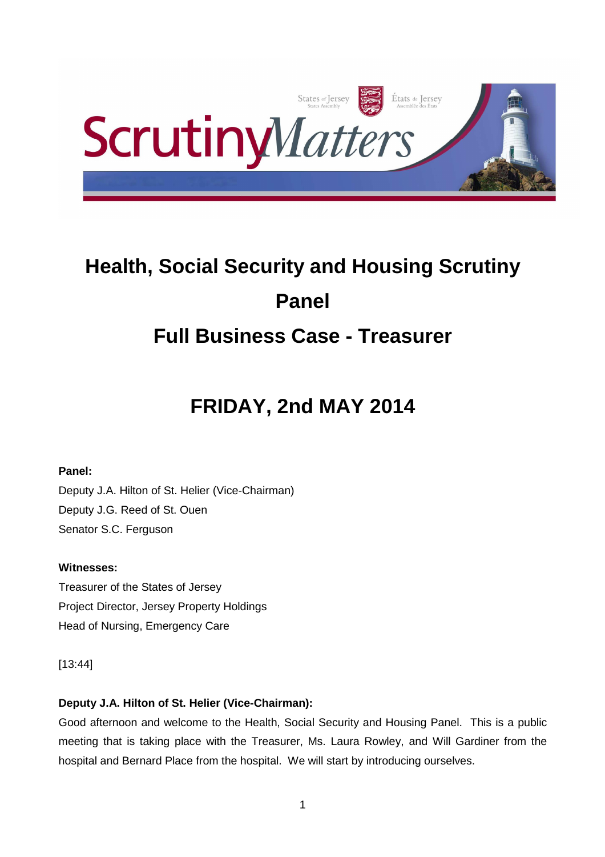

# **Health, Social Security and Housing Scrutiny Panel Full Business Case - Treasurer**

# **FRIDAY, 2nd MAY 2014**

# **Panel:**

Deputy J.A. Hilton of St. Helier (Vice-Chairman) Deputy J.G. Reed of St. Ouen Senator S.C. Ferguson

# **Witnesses:**

Treasurer of the States of Jersey Project Director, Jersey Property Holdings Head of Nursing, Emergency Care

[13:44]

# **Deputy J.A. Hilton of St. Helier (Vice-Chairman):**

Good afternoon and welcome to the Health, Social Security and Housing Panel. This is a public meeting that is taking place with the Treasurer, Ms. Laura Rowley, and Will Gardiner from the hospital and Bernard Place from the hospital. We will start by introducing ourselves.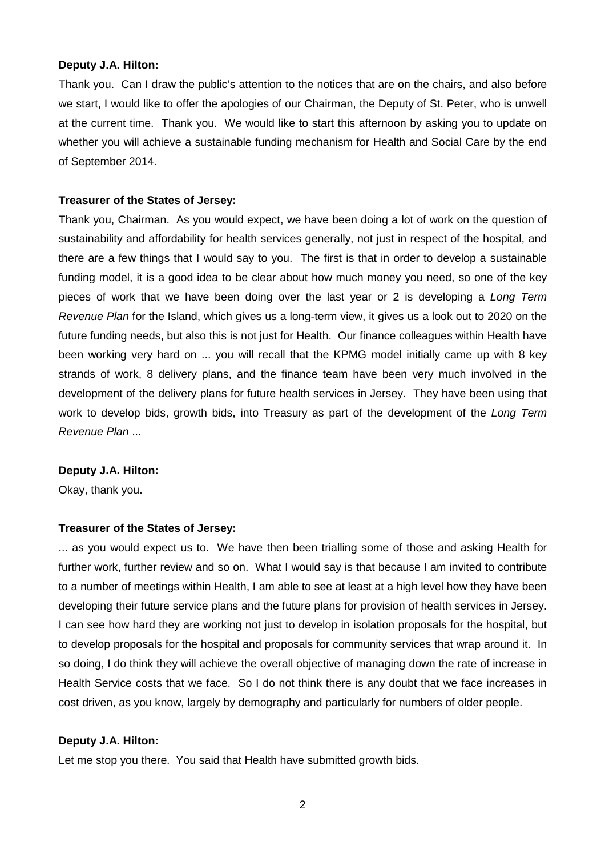#### **Deputy J.A. Hilton:**

Thank you. Can I draw the public's attention to the notices that are on the chairs, and also before we start, I would like to offer the apologies of our Chairman, the Deputy of St. Peter, who is unwell at the current time. Thank you. We would like to start this afternoon by asking you to update on whether you will achieve a sustainable funding mechanism for Health and Social Care by the end of September 2014.

#### **Treasurer of the States of Jersey:**

Thank you, Chairman. As you would expect, we have been doing a lot of work on the question of sustainability and affordability for health services generally, not just in respect of the hospital, and there are a few things that I would say to you. The first is that in order to develop a sustainable funding model, it is a good idea to be clear about how much money you need, so one of the key pieces of work that we have been doing over the last year or 2 is developing a Long Term Revenue Plan for the Island, which gives us a long-term view, it gives us a look out to 2020 on the future funding needs, but also this is not just for Health. Our finance colleagues within Health have been working very hard on ... you will recall that the KPMG model initially came up with 8 key strands of work, 8 delivery plans, and the finance team have been very much involved in the development of the delivery plans for future health services in Jersey. They have been using that work to develop bids, growth bids, into Treasury as part of the development of the Long Term Revenue Plan ...

#### **Deputy J.A. Hilton:**

Okay, thank you.

#### **Treasurer of the States of Jersey:**

... as you would expect us to. We have then been trialling some of those and asking Health for further work, further review and so on. What I would say is that because I am invited to contribute to a number of meetings within Health, I am able to see at least at a high level how they have been developing their future service plans and the future plans for provision of health services in Jersey. I can see how hard they are working not just to develop in isolation proposals for the hospital, but to develop proposals for the hospital and proposals for community services that wrap around it. In so doing, I do think they will achieve the overall objective of managing down the rate of increase in Health Service costs that we face. So I do not think there is any doubt that we face increases in cost driven, as you know, largely by demography and particularly for numbers of older people.

#### **Deputy J.A. Hilton:**

Let me stop you there. You said that Health have submitted growth bids.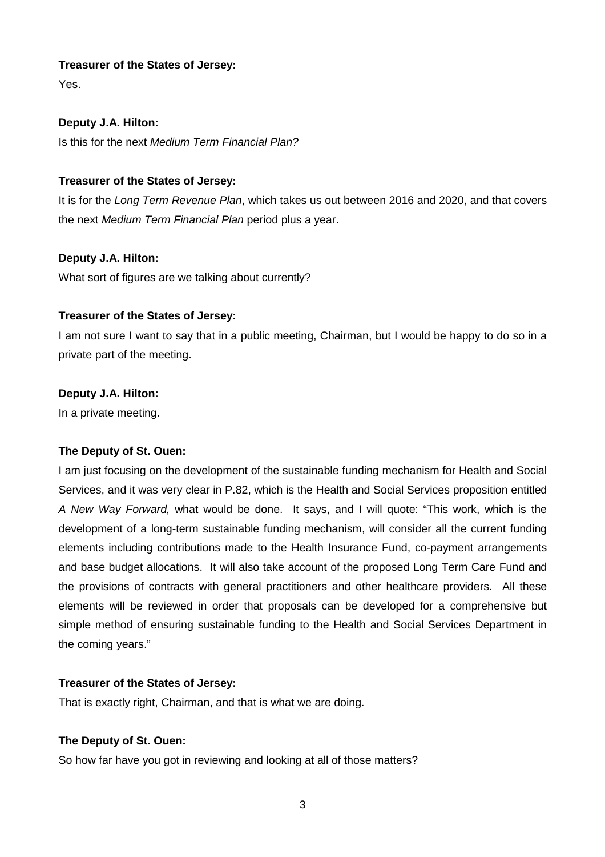Yes.

## **Deputy J.A. Hilton:**

Is this for the next Medium Term Financial Plan?

## **Treasurer of the States of Jersey:**

It is for the Long Term Revenue Plan, which takes us out between 2016 and 2020, and that covers the next Medium Term Financial Plan period plus a year.

## **Deputy J.A. Hilton:**

What sort of figures are we talking about currently?

## **Treasurer of the States of Jersey:**

I am not sure I want to say that in a public meeting, Chairman, but I would be happy to do so in a private part of the meeting.

## **Deputy J.A. Hilton:**

In a private meeting.

## **The Deputy of St. Ouen:**

I am just focusing on the development of the sustainable funding mechanism for Health and Social Services, and it was very clear in P.82, which is the Health and Social Services proposition entitled A New Way Forward, what would be done. It says, and I will quote: "This work, which is the development of a long-term sustainable funding mechanism, will consider all the current funding elements including contributions made to the Health Insurance Fund, co-payment arrangements and base budget allocations. It will also take account of the proposed Long Term Care Fund and the provisions of contracts with general practitioners and other healthcare providers. All these elements will be reviewed in order that proposals can be developed for a comprehensive but simple method of ensuring sustainable funding to the Health and Social Services Department in the coming years."

## **Treasurer of the States of Jersey:**

That is exactly right, Chairman, and that is what we are doing.

## **The Deputy of St. Ouen:**

So how far have you got in reviewing and looking at all of those matters?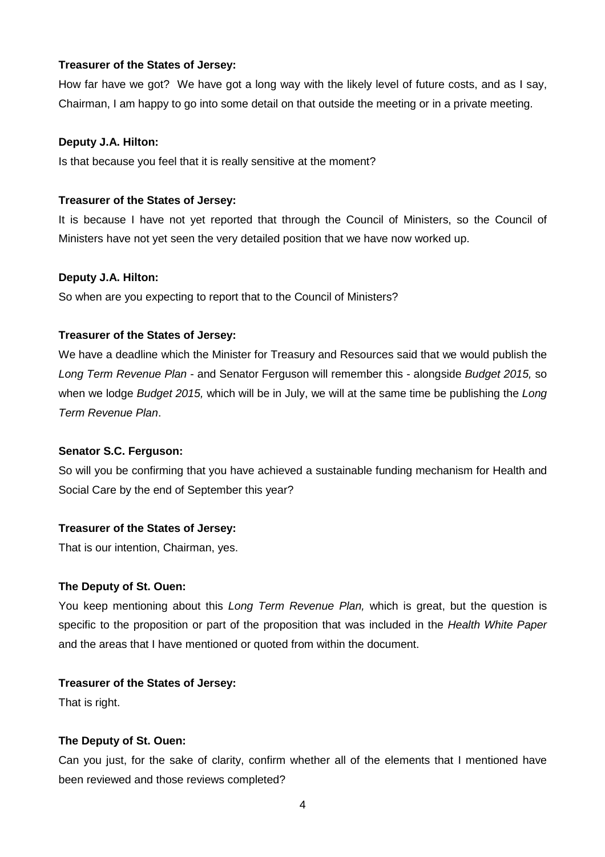How far have we got? We have got a long way with the likely level of future costs, and as I say, Chairman, I am happy to go into some detail on that outside the meeting or in a private meeting.

#### **Deputy J.A. Hilton:**

Is that because you feel that it is really sensitive at the moment?

#### **Treasurer of the States of Jersey:**

It is because I have not yet reported that through the Council of Ministers, so the Council of Ministers have not yet seen the very detailed position that we have now worked up.

#### **Deputy J.A. Hilton:**

So when are you expecting to report that to the Council of Ministers?

#### **Treasurer of the States of Jersey:**

We have a deadline which the Minister for Treasury and Resources said that we would publish the Long Term Revenue Plan - and Senator Ferguson will remember this - alongside Budget 2015, so when we lodge Budget 2015, which will be in July, we will at the same time be publishing the Long Term Revenue Plan.

#### **Senator S.C. Ferguson:**

So will you be confirming that you have achieved a sustainable funding mechanism for Health and Social Care by the end of September this year?

## **Treasurer of the States of Jersey:**

That is our intention, Chairman, yes.

#### **The Deputy of St. Ouen:**

You keep mentioning about this Long Term Revenue Plan, which is great, but the question is specific to the proposition or part of the proposition that was included in the Health White Paper and the areas that I have mentioned or quoted from within the document.

#### **Treasurer of the States of Jersey:**

That is right.

## **The Deputy of St. Ouen:**

Can you just, for the sake of clarity, confirm whether all of the elements that I mentioned have been reviewed and those reviews completed?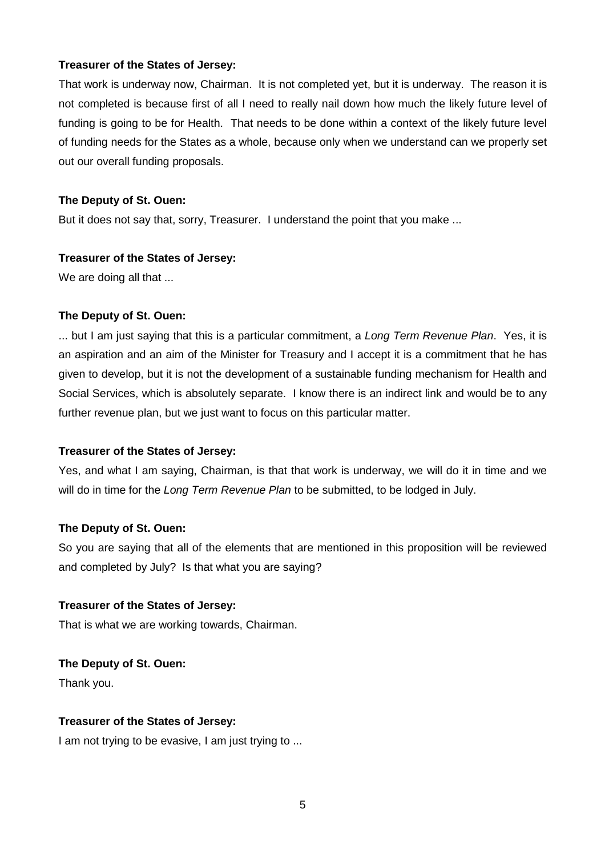That work is underway now, Chairman. It is not completed yet, but it is underway. The reason it is not completed is because first of all I need to really nail down how much the likely future level of funding is going to be for Health. That needs to be done within a context of the likely future level of funding needs for the States as a whole, because only when we understand can we properly set out our overall funding proposals.

## **The Deputy of St. Ouen:**

But it does not say that, sorry, Treasurer. I understand the point that you make ...

## **Treasurer of the States of Jersey:**

We are doing all that ...

# **The Deputy of St. Ouen:**

... but I am just saying that this is a particular commitment, a Long Term Revenue Plan. Yes, it is an aspiration and an aim of the Minister for Treasury and I accept it is a commitment that he has given to develop, but it is not the development of a sustainable funding mechanism for Health and Social Services, which is absolutely separate. I know there is an indirect link and would be to any further revenue plan, but we just want to focus on this particular matter.

# **Treasurer of the States of Jersey:**

Yes, and what I am saying, Chairman, is that that work is underway, we will do it in time and we will do in time for the Long Term Revenue Plan to be submitted, to be lodged in July.

# **The Deputy of St. Ouen:**

So you are saying that all of the elements that are mentioned in this proposition will be reviewed and completed by July? Is that what you are saying?

## **Treasurer of the States of Jersey:**

That is what we are working towards, Chairman.

**The Deputy of St. Ouen:**

Thank you.

# **Treasurer of the States of Jersey:**

I am not trying to be evasive, I am just trying to ...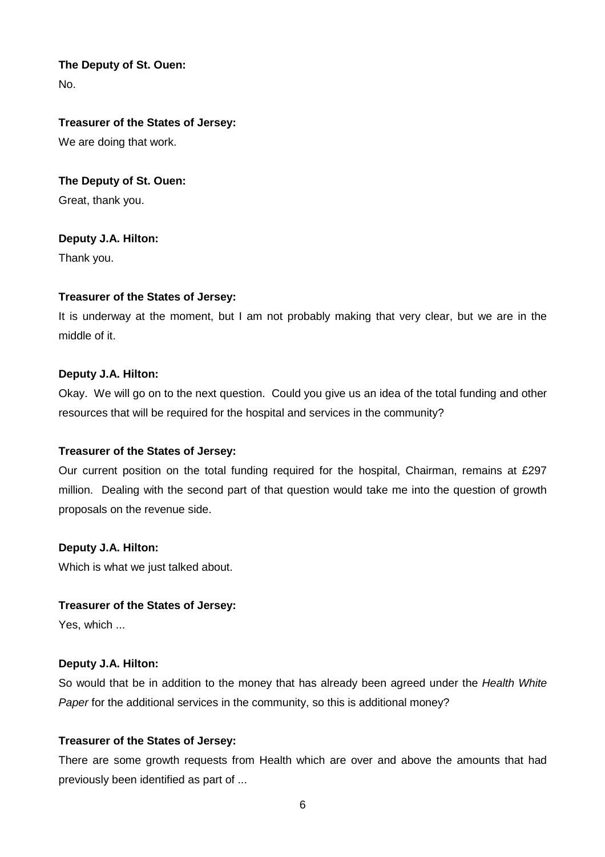No.

## **Treasurer of the States of Jersey:**

We are doing that work.

## **The Deputy of St. Ouen:**

Great, thank you.

## **Deputy J.A. Hilton:**

Thank you.

# **Treasurer of the States of Jersey:**

It is underway at the moment, but I am not probably making that very clear, but we are in the middle of it.

## **Deputy J.A. Hilton:**

Okay. We will go on to the next question. Could you give us an idea of the total funding and other resources that will be required for the hospital and services in the community?

## **Treasurer of the States of Jersey:**

Our current position on the total funding required for the hospital, Chairman, remains at £297 million. Dealing with the second part of that question would take me into the question of growth proposals on the revenue side.

## **Deputy J.A. Hilton:**

Which is what we just talked about.

## **Treasurer of the States of Jersey:**

Yes, which ...

## **Deputy J.A. Hilton:**

So would that be in addition to the money that has already been agreed under the Health White Paper for the additional services in the community, so this is additional money?

## **Treasurer of the States of Jersey:**

There are some growth requests from Health which are over and above the amounts that had previously been identified as part of ...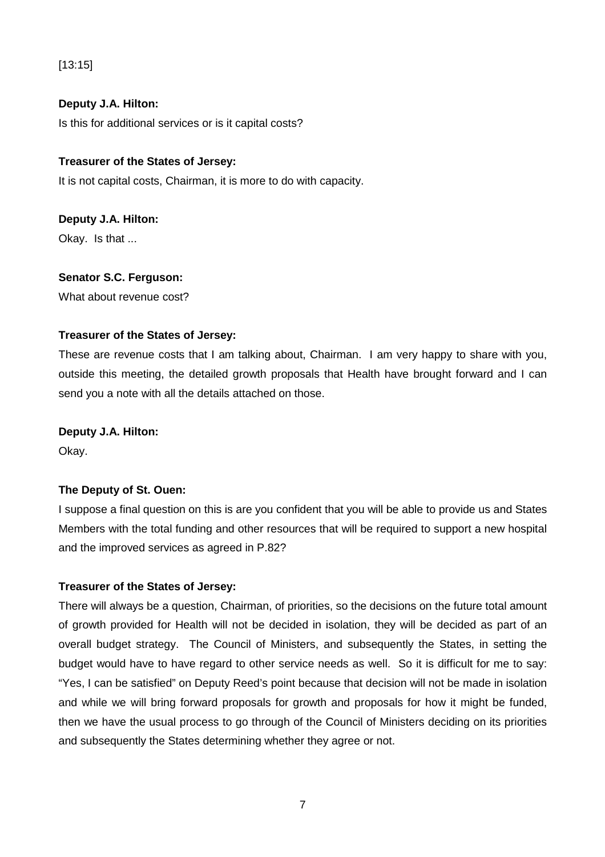[13:15]

## **Deputy J.A. Hilton:**

Is this for additional services or is it capital costs?

## **Treasurer of the States of Jersey:**

It is not capital costs, Chairman, it is more to do with capacity.

# **Deputy J.A. Hilton:** Okay. Is that ...

## **Senator S.C. Ferguson:**

What about revenue cost?

## **Treasurer of the States of Jersey:**

These are revenue costs that I am talking about, Chairman. I am very happy to share with you, outside this meeting, the detailed growth proposals that Health have brought forward and I can send you a note with all the details attached on those.

## **Deputy J.A. Hilton:**

Okay.

# **The Deputy of St. Ouen:**

I suppose a final question on this is are you confident that you will be able to provide us and States Members with the total funding and other resources that will be required to support a new hospital and the improved services as agreed in P.82?

## **Treasurer of the States of Jersey:**

There will always be a question, Chairman, of priorities, so the decisions on the future total amount of growth provided for Health will not be decided in isolation, they will be decided as part of an overall budget strategy. The Council of Ministers, and subsequently the States, in setting the budget would have to have regard to other service needs as well. So it is difficult for me to say: "Yes, I can be satisfied" on Deputy Reed's point because that decision will not be made in isolation and while we will bring forward proposals for growth and proposals for how it might be funded, then we have the usual process to go through of the Council of Ministers deciding on its priorities and subsequently the States determining whether they agree or not.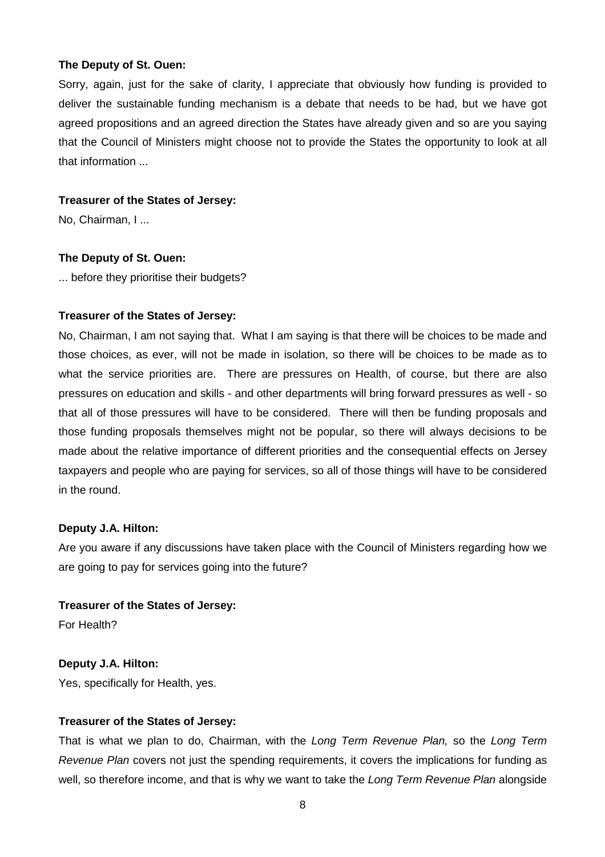Sorry, again, just for the sake of clarity, I appreciate that obviously how funding is provided to deliver the sustainable funding mechanism is a debate that needs to be had, but we have got agreed propositions and an agreed direction the States have already given and so are you saying that the Council of Ministers might choose not to provide the States the opportunity to look at all that information ...

#### **Treasurer of the States of Jersey:**

No, Chairman, I ...

#### **The Deputy of St. Ouen:**

... before they prioritise their budgets?

## **Treasurer of the States of Jersey:**

No, Chairman, I am not saying that. What I am saying is that there will be choices to be made and those choices, as ever, will not be made in isolation, so there will be choices to be made as to what the service priorities are. There are pressures on Health, of course, but there are also pressures on education and skills - and other departments will bring forward pressures as well - so that all of those pressures will have to be considered. There will then be funding proposals and those funding proposals themselves might not be popular, so there will always decisions to be made about the relative importance of different priorities and the consequential effects on Jersey taxpayers and people who are paying for services, so all of those things will have to be considered in the round.

## **Deputy J.A. Hilton:**

Are you aware if any discussions have taken place with the Council of Ministers regarding how we are going to pay for services going into the future?

**Treasurer of the States of Jersey:**

For Health?

## **Deputy J.A. Hilton:**

Yes, specifically for Health, yes.

## **Treasurer of the States of Jersey:**

That is what we plan to do, Chairman, with the Long Term Revenue Plan, so the Long Term Revenue Plan covers not just the spending requirements, it covers the implications for funding as well, so therefore income, and that is why we want to take the Long Term Revenue Plan alongside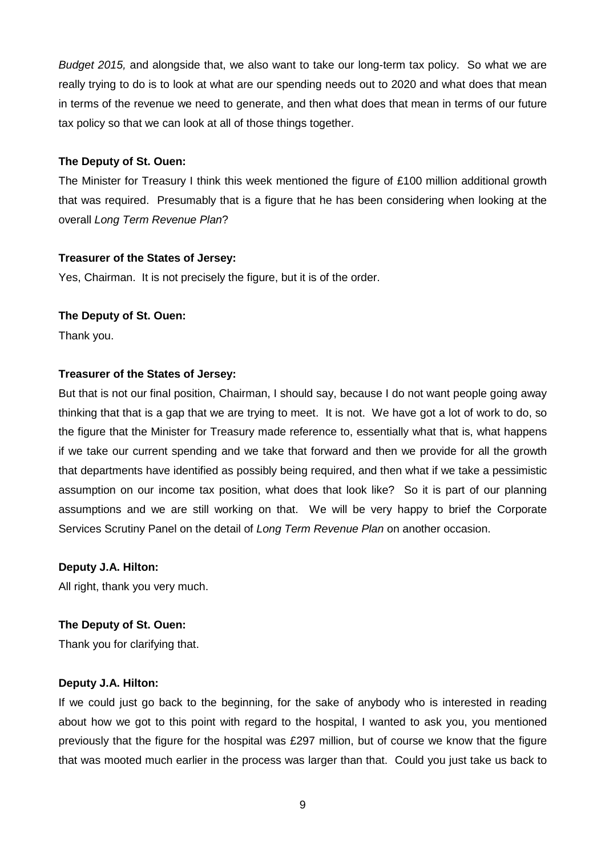Budget 2015, and alongside that, we also want to take our long-term tax policy. So what we are really trying to do is to look at what are our spending needs out to 2020 and what does that mean in terms of the revenue we need to generate, and then what does that mean in terms of our future tax policy so that we can look at all of those things together.

#### **The Deputy of St. Ouen:**

The Minister for Treasury I think this week mentioned the figure of £100 million additional growth that was required. Presumably that is a figure that he has been considering when looking at the overall Long Term Revenue Plan?

## **Treasurer of the States of Jersey:**

Yes, Chairman. It is not precisely the figure, but it is of the order.

## **The Deputy of St. Ouen:**

Thank you.

## **Treasurer of the States of Jersey:**

But that is not our final position, Chairman, I should say, because I do not want people going away thinking that that is a gap that we are trying to meet. It is not. We have got a lot of work to do, so the figure that the Minister for Treasury made reference to, essentially what that is, what happens if we take our current spending and we take that forward and then we provide for all the growth that departments have identified as possibly being required, and then what if we take a pessimistic assumption on our income tax position, what does that look like? So it is part of our planning assumptions and we are still working on that. We will be very happy to brief the Corporate Services Scrutiny Panel on the detail of Long Term Revenue Plan on another occasion.

**Deputy J.A. Hilton:**

All right, thank you very much.

## **The Deputy of St. Ouen:**

Thank you for clarifying that.

## **Deputy J.A. Hilton:**

If we could just go back to the beginning, for the sake of anybody who is interested in reading about how we got to this point with regard to the hospital, I wanted to ask you, you mentioned previously that the figure for the hospital was £297 million, but of course we know that the figure that was mooted much earlier in the process was larger than that. Could you just take us back to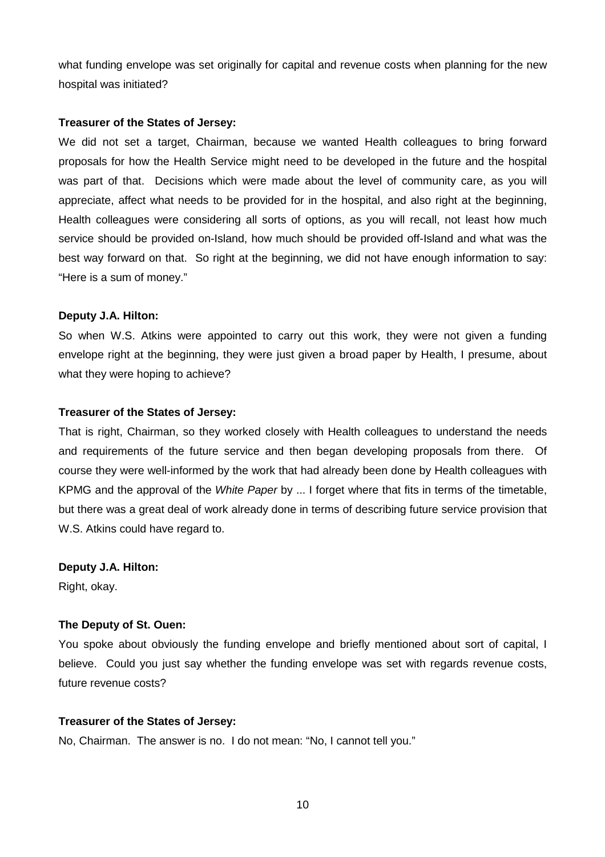what funding envelope was set originally for capital and revenue costs when planning for the new hospital was initiated?

#### **Treasurer of the States of Jersey:**

We did not set a target, Chairman, because we wanted Health colleagues to bring forward proposals for how the Health Service might need to be developed in the future and the hospital was part of that. Decisions which were made about the level of community care, as you will appreciate, affect what needs to be provided for in the hospital, and also right at the beginning, Health colleagues were considering all sorts of options, as you will recall, not least how much service should be provided on-Island, how much should be provided off-Island and what was the best way forward on that. So right at the beginning, we did not have enough information to say: "Here is a sum of money."

#### **Deputy J.A. Hilton:**

So when W.S. Atkins were appointed to carry out this work, they were not given a funding envelope right at the beginning, they were just given a broad paper by Health, I presume, about what they were hoping to achieve?

#### **Treasurer of the States of Jersey:**

That is right, Chairman, so they worked closely with Health colleagues to understand the needs and requirements of the future service and then began developing proposals from there. Of course they were well-informed by the work that had already been done by Health colleagues with KPMG and the approval of the White Paper by ... I forget where that fits in terms of the timetable, but there was a great deal of work already done in terms of describing future service provision that W.S. Atkins could have regard to.

## **Deputy J.A. Hilton:**

Right, okay.

## **The Deputy of St. Ouen:**

You spoke about obviously the funding envelope and briefly mentioned about sort of capital, I believe. Could you just say whether the funding envelope was set with regards revenue costs, future revenue costs?

## **Treasurer of the States of Jersey:**

No, Chairman. The answer is no. I do not mean: "No, I cannot tell you."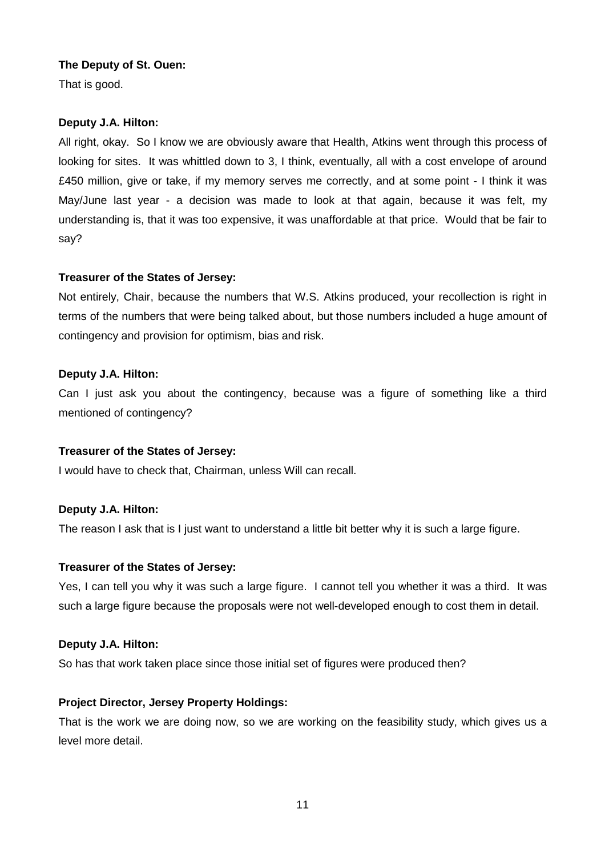That is good.

## **Deputy J.A. Hilton:**

All right, okay. So I know we are obviously aware that Health, Atkins went through this process of looking for sites. It was whittled down to 3, I think, eventually, all with a cost envelope of around £450 million, give or take, if my memory serves me correctly, and at some point - I think it was May/June last year - a decision was made to look at that again, because it was felt, my understanding is, that it was too expensive, it was unaffordable at that price. Would that be fair to say?

## **Treasurer of the States of Jersey:**

Not entirely, Chair, because the numbers that W.S. Atkins produced, your recollection is right in terms of the numbers that were being talked about, but those numbers included a huge amount of contingency and provision for optimism, bias and risk.

## **Deputy J.A. Hilton:**

Can I just ask you about the contingency, because was a figure of something like a third mentioned of contingency?

## **Treasurer of the States of Jersey:**

I would have to check that, Chairman, unless Will can recall.

## **Deputy J.A. Hilton:**

The reason I ask that is I just want to understand a little bit better why it is such a large figure.

## **Treasurer of the States of Jersey:**

Yes, I can tell you why it was such a large figure. I cannot tell you whether it was a third. It was such a large figure because the proposals were not well-developed enough to cost them in detail.

## **Deputy J.A. Hilton:**

So has that work taken place since those initial set of figures were produced then?

## **Project Director, Jersey Property Holdings:**

That is the work we are doing now, so we are working on the feasibility study, which gives us a level more detail.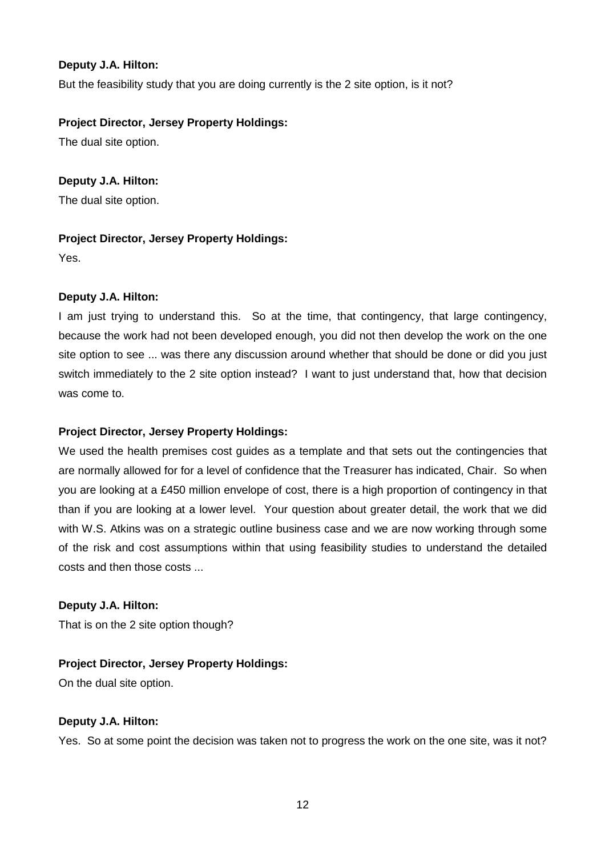## **Deputy J.A. Hilton:**

But the feasibility study that you are doing currently is the 2 site option, is it not?

## **Project Director, Jersey Property Holdings:**

The dual site option.

# **Deputy J.A. Hilton:**

The dual site option.

# **Project Director, Jersey Property Holdings:**

Yes.

# **Deputy J.A. Hilton:**

I am just trying to understand this. So at the time, that contingency, that large contingency, because the work had not been developed enough, you did not then develop the work on the one site option to see ... was there any discussion around whether that should be done or did you just switch immediately to the 2 site option instead? I want to just understand that, how that decision was come to.

# **Project Director, Jersey Property Holdings:**

We used the health premises cost guides as a template and that sets out the contingencies that are normally allowed for for a level of confidence that the Treasurer has indicated, Chair. So when you are looking at a £450 million envelope of cost, there is a high proportion of contingency in that than if you are looking at a lower level. Your question about greater detail, the work that we did with W.S. Atkins was on a strategic outline business case and we are now working through some of the risk and cost assumptions within that using feasibility studies to understand the detailed costs and then those costs ...

# **Deputy J.A. Hilton:**

That is on the 2 site option though?

# **Project Director, Jersey Property Holdings:**

On the dual site option.

# **Deputy J.A. Hilton:**

Yes. So at some point the decision was taken not to progress the work on the one site, was it not?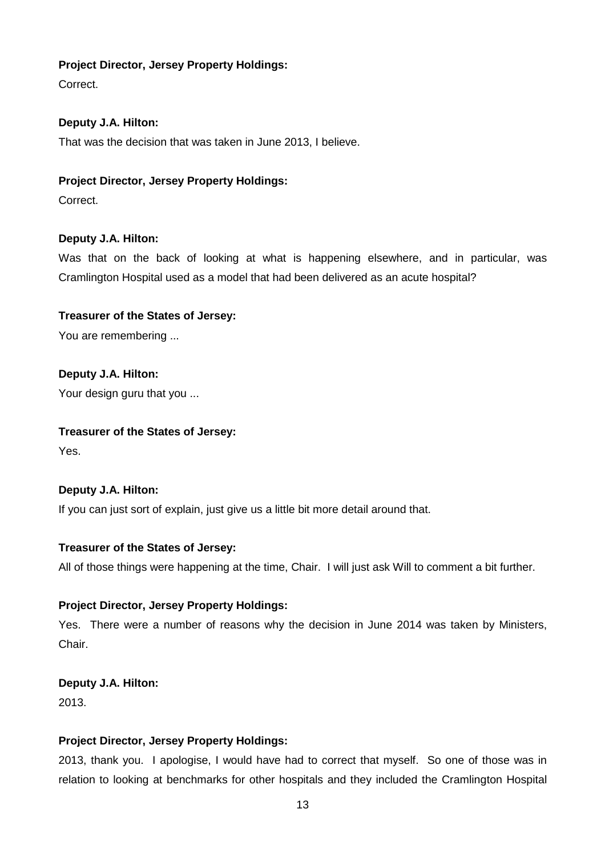## **Project Director, Jersey Property Holdings:**

Correct.

# **Deputy J.A. Hilton:**

That was the decision that was taken in June 2013, I believe.

## **Project Director, Jersey Property Holdings:**

Correct.

# **Deputy J.A. Hilton:**

Was that on the back of looking at what is happening elsewhere, and in particular, was Cramlington Hospital used as a model that had been delivered as an acute hospital?

# **Treasurer of the States of Jersey:**

You are remembering ...

**Deputy J.A. Hilton:** Your design guru that you ...

# **Treasurer of the States of Jersey:**

Yes.

# **Deputy J.A. Hilton:**

If you can just sort of explain, just give us a little bit more detail around that.

# **Treasurer of the States of Jersey:**

All of those things were happening at the time, Chair. I will just ask Will to comment a bit further.

# **Project Director, Jersey Property Holdings:**

Yes. There were a number of reasons why the decision in June 2014 was taken by Ministers, Chair.

# **Deputy J.A. Hilton:**

2013.

# **Project Director, Jersey Property Holdings:**

2013, thank you. I apologise, I would have had to correct that myself. So one of those was in relation to looking at benchmarks for other hospitals and they included the Cramlington Hospital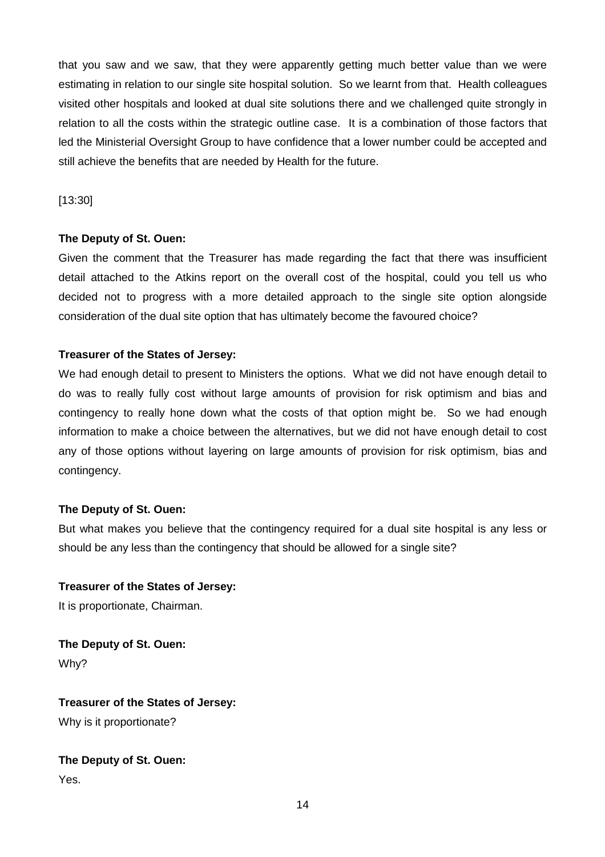that you saw and we saw, that they were apparently getting much better value than we were estimating in relation to our single site hospital solution. So we learnt from that. Health colleagues visited other hospitals and looked at dual site solutions there and we challenged quite strongly in relation to all the costs within the strategic outline case. It is a combination of those factors that led the Ministerial Oversight Group to have confidence that a lower number could be accepted and still achieve the benefits that are needed by Health for the future.

[13:30]

## **The Deputy of St. Ouen:**

Given the comment that the Treasurer has made regarding the fact that there was insufficient detail attached to the Atkins report on the overall cost of the hospital, could you tell us who decided not to progress with a more detailed approach to the single site option alongside consideration of the dual site option that has ultimately become the favoured choice?

## **Treasurer of the States of Jersey:**

We had enough detail to present to Ministers the options. What we did not have enough detail to do was to really fully cost without large amounts of provision for risk optimism and bias and contingency to really hone down what the costs of that option might be. So we had enough information to make a choice between the alternatives, but we did not have enough detail to cost any of those options without layering on large amounts of provision for risk optimism, bias and contingency.

## **The Deputy of St. Ouen:**

But what makes you believe that the contingency required for a dual site hospital is any less or should be any less than the contingency that should be allowed for a single site?

# **Treasurer of the States of Jersey:**

It is proportionate, Chairman.

**The Deputy of St. Ouen:** Why?

**Treasurer of the States of Jersey:** Why is it proportionate?

# **The Deputy of St. Ouen:**

Yes.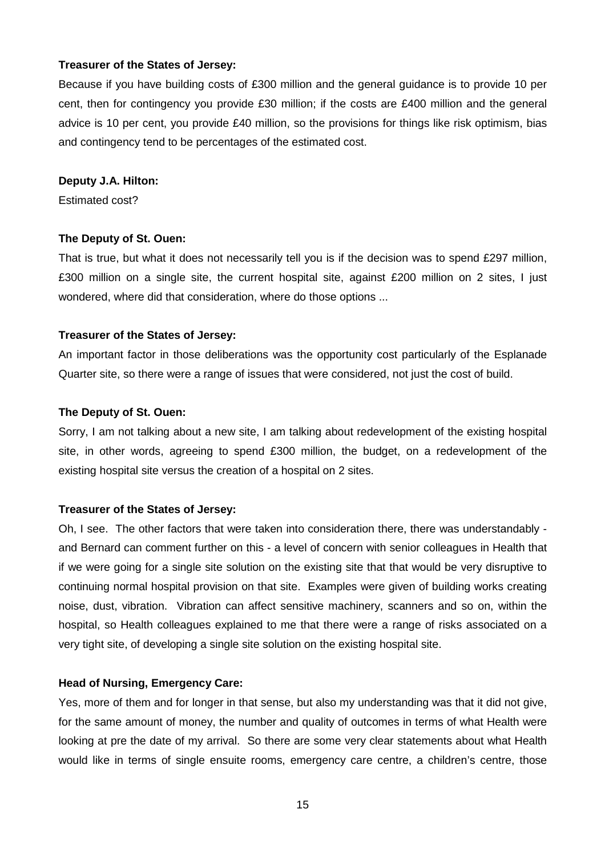Because if you have building costs of £300 million and the general guidance is to provide 10 per cent, then for contingency you provide £30 million; if the costs are £400 million and the general advice is 10 per cent, you provide £40 million, so the provisions for things like risk optimism, bias and contingency tend to be percentages of the estimated cost.

#### **Deputy J.A. Hilton:**

Estimated cost?

#### **The Deputy of St. Ouen:**

That is true, but what it does not necessarily tell you is if the decision was to spend £297 million, £300 million on a single site, the current hospital site, against £200 million on 2 sites, I just wondered, where did that consideration, where do those options ...

#### **Treasurer of the States of Jersey:**

An important factor in those deliberations was the opportunity cost particularly of the Esplanade Quarter site, so there were a range of issues that were considered, not just the cost of build.

#### **The Deputy of St. Ouen:**

Sorry, I am not talking about a new site, I am talking about redevelopment of the existing hospital site, in other words, agreeing to spend £300 million, the budget, on a redevelopment of the existing hospital site versus the creation of a hospital on 2 sites.

## **Treasurer of the States of Jersey:**

Oh, I see. The other factors that were taken into consideration there, there was understandably and Bernard can comment further on this - a level of concern with senior colleagues in Health that if we were going for a single site solution on the existing site that that would be very disruptive to continuing normal hospital provision on that site. Examples were given of building works creating noise, dust, vibration. Vibration can affect sensitive machinery, scanners and so on, within the hospital, so Health colleagues explained to me that there were a range of risks associated on a very tight site, of developing a single site solution on the existing hospital site.

#### **Head of Nursing, Emergency Care:**

Yes, more of them and for longer in that sense, but also my understanding was that it did not give, for the same amount of money, the number and quality of outcomes in terms of what Health were looking at pre the date of my arrival. So there are some very clear statements about what Health would like in terms of single ensuite rooms, emergency care centre, a children's centre, those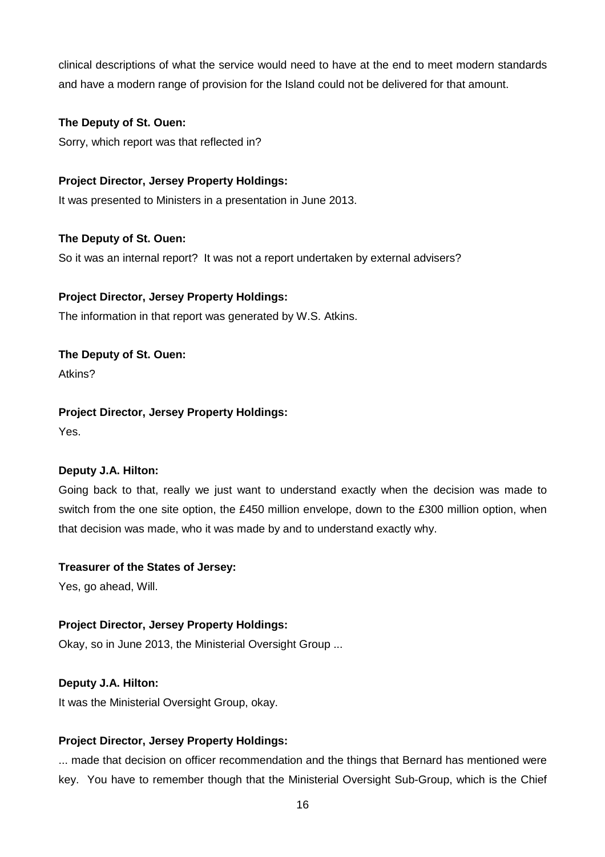clinical descriptions of what the service would need to have at the end to meet modern standards and have a modern range of provision for the Island could not be delivered for that amount.

## **The Deputy of St. Ouen:**

Sorry, which report was that reflected in?

## **Project Director, Jersey Property Holdings:**

It was presented to Ministers in a presentation in June 2013.

## **The Deputy of St. Ouen:**

So it was an internal report? It was not a report undertaken by external advisers?

## **Project Director, Jersey Property Holdings:**

The information in that report was generated by W.S. Atkins.

# **The Deputy of St. Ouen:**

Atkins?

# **Project Director, Jersey Property Holdings:**

Yes.

# **Deputy J.A. Hilton:**

Going back to that, really we just want to understand exactly when the decision was made to switch from the one site option, the £450 million envelope, down to the £300 million option, when that decision was made, who it was made by and to understand exactly why.

## **Treasurer of the States of Jersey:**

Yes, go ahead, Will.

# **Project Director, Jersey Property Holdings:**

Okay, so in June 2013, the Ministerial Oversight Group ...

# **Deputy J.A. Hilton:**

It was the Ministerial Oversight Group, okay.

# **Project Director, Jersey Property Holdings:**

... made that decision on officer recommendation and the things that Bernard has mentioned were key. You have to remember though that the Ministerial Oversight Sub-Group, which is the Chief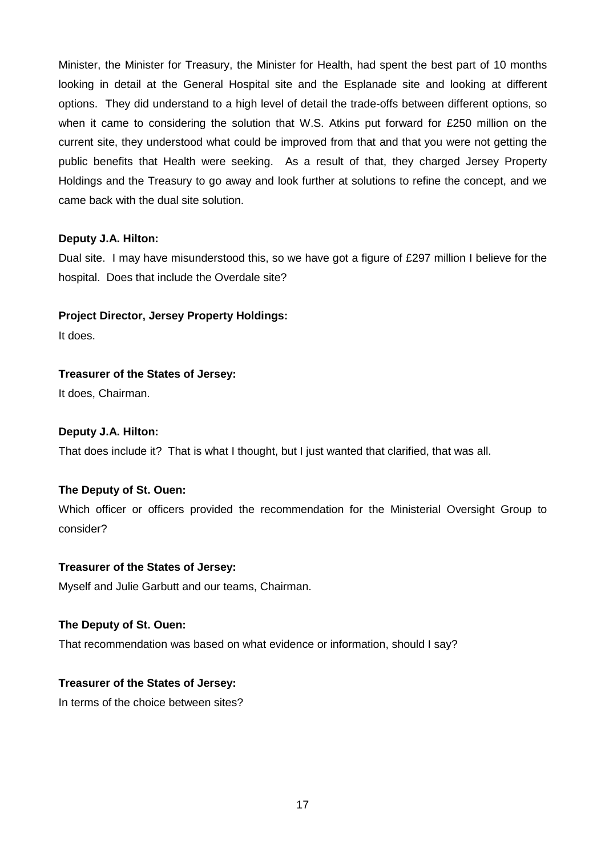Minister, the Minister for Treasury, the Minister for Health, had spent the best part of 10 months looking in detail at the General Hospital site and the Esplanade site and looking at different options. They did understand to a high level of detail the trade-offs between different options, so when it came to considering the solution that W.S. Atkins put forward for £250 million on the current site, they understood what could be improved from that and that you were not getting the public benefits that Health were seeking. As a result of that, they charged Jersey Property Holdings and the Treasury to go away and look further at solutions to refine the concept, and we came back with the dual site solution.

## **Deputy J.A. Hilton:**

Dual site. I may have misunderstood this, so we have got a figure of £297 million I believe for the hospital. Does that include the Overdale site?

## **Project Director, Jersey Property Holdings:**

It does.

# **Treasurer of the States of Jersey:**

It does, Chairman.

## **Deputy J.A. Hilton:**

That does include it? That is what I thought, but I just wanted that clarified, that was all.

# **The Deputy of St. Ouen:**

Which officer or officers provided the recommendation for the Ministerial Oversight Group to consider?

## **Treasurer of the States of Jersey:**

Myself and Julie Garbutt and our teams, Chairman.

## **The Deputy of St. Ouen:**

That recommendation was based on what evidence or information, should I say?

# **Treasurer of the States of Jersey:**

In terms of the choice between sites?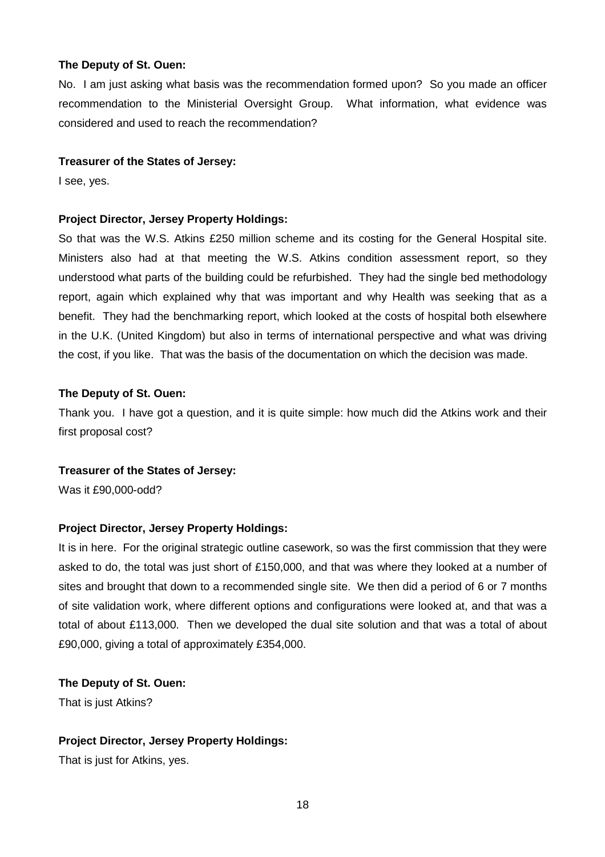No. I am just asking what basis was the recommendation formed upon? So you made an officer recommendation to the Ministerial Oversight Group. What information, what evidence was considered and used to reach the recommendation?

#### **Treasurer of the States of Jersey:**

I see, yes.

#### **Project Director, Jersey Property Holdings:**

So that was the W.S. Atkins £250 million scheme and its costing for the General Hospital site. Ministers also had at that meeting the W.S. Atkins condition assessment report, so they understood what parts of the building could be refurbished. They had the single bed methodology report, again which explained why that was important and why Health was seeking that as a benefit. They had the benchmarking report, which looked at the costs of hospital both elsewhere in the U.K. (United Kingdom) but also in terms of international perspective and what was driving the cost, if you like. That was the basis of the documentation on which the decision was made.

#### **The Deputy of St. Ouen:**

Thank you. I have got a question, and it is quite simple: how much did the Atkins work and their first proposal cost?

#### **Treasurer of the States of Jersey:**

Was it £90,000-odd?

## **Project Director, Jersey Property Holdings:**

It is in here. For the original strategic outline casework, so was the first commission that they were asked to do, the total was just short of £150,000, and that was where they looked at a number of sites and brought that down to a recommended single site. We then did a period of 6 or 7 months of site validation work, where different options and configurations were looked at, and that was a total of about £113,000. Then we developed the dual site solution and that was a total of about £90,000, giving a total of approximately £354,000.

#### **The Deputy of St. Ouen:**

That is just Atkins?

## **Project Director, Jersey Property Holdings:**

That is just for Atkins, yes.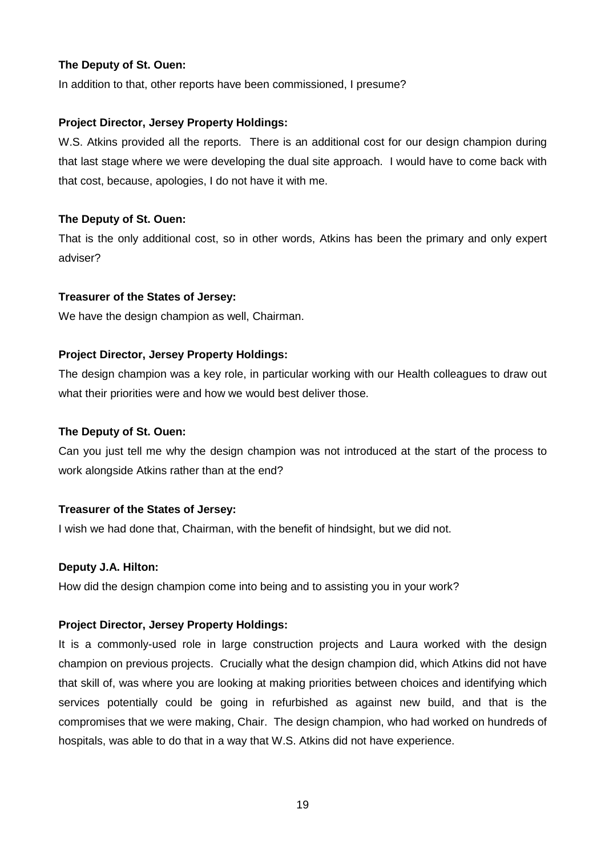In addition to that, other reports have been commissioned, I presume?

## **Project Director, Jersey Property Holdings:**

W.S. Atkins provided all the reports. There is an additional cost for our design champion during that last stage where we were developing the dual site approach. I would have to come back with that cost, because, apologies, I do not have it with me.

## **The Deputy of St. Ouen:**

That is the only additional cost, so in other words, Atkins has been the primary and only expert adviser?

## **Treasurer of the States of Jersey:**

We have the design champion as well, Chairman.

## **Project Director, Jersey Property Holdings:**

The design champion was a key role, in particular working with our Health colleagues to draw out what their priorities were and how we would best deliver those.

#### **The Deputy of St. Ouen:**

Can you just tell me why the design champion was not introduced at the start of the process to work alongside Atkins rather than at the end?

## **Treasurer of the States of Jersey:**

I wish we had done that, Chairman, with the benefit of hindsight, but we did not.

## **Deputy J.A. Hilton:**

How did the design champion come into being and to assisting you in your work?

## **Project Director, Jersey Property Holdings:**

It is a commonly-used role in large construction projects and Laura worked with the design champion on previous projects. Crucially what the design champion did, which Atkins did not have that skill of, was where you are looking at making priorities between choices and identifying which services potentially could be going in refurbished as against new build, and that is the compromises that we were making, Chair. The design champion, who had worked on hundreds of hospitals, was able to do that in a way that W.S. Atkins did not have experience.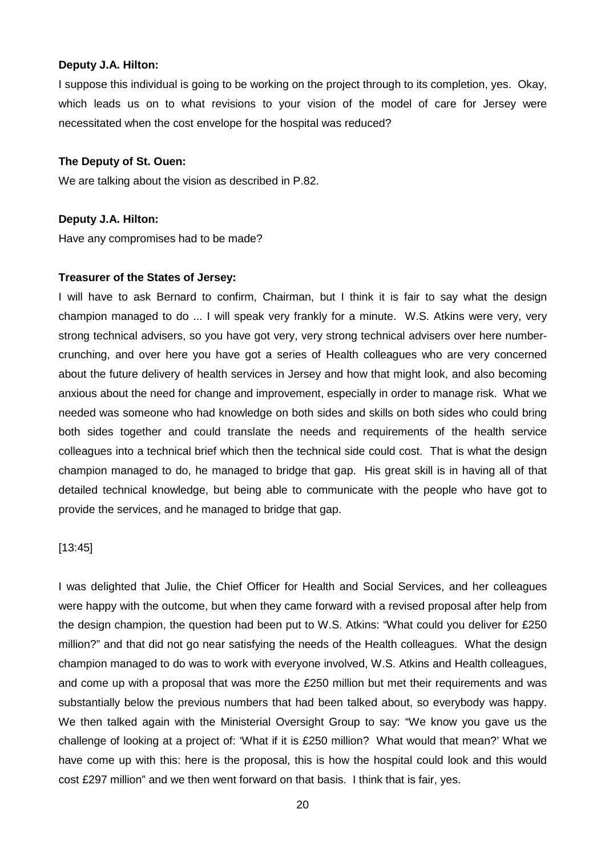#### **Deputy J.A. Hilton:**

I suppose this individual is going to be working on the project through to its completion, yes. Okay, which leads us on to what revisions to your vision of the model of care for Jersey were necessitated when the cost envelope for the hospital was reduced?

#### **The Deputy of St. Ouen:**

We are talking about the vision as described in P.82.

#### **Deputy J.A. Hilton:**

Have any compromises had to be made?

#### **Treasurer of the States of Jersey:**

I will have to ask Bernard to confirm, Chairman, but I think it is fair to say what the design champion managed to do ... I will speak very frankly for a minute. W.S. Atkins were very, very strong technical advisers, so you have got very, very strong technical advisers over here numbercrunching, and over here you have got a series of Health colleagues who are very concerned about the future delivery of health services in Jersey and how that might look, and also becoming anxious about the need for change and improvement, especially in order to manage risk. What we needed was someone who had knowledge on both sides and skills on both sides who could bring both sides together and could translate the needs and requirements of the health service colleagues into a technical brief which then the technical side could cost. That is what the design champion managed to do, he managed to bridge that gap. His great skill is in having all of that detailed technical knowledge, but being able to communicate with the people who have got to provide the services, and he managed to bridge that gap.

#### [13:45]

I was delighted that Julie, the Chief Officer for Health and Social Services, and her colleagues were happy with the outcome, but when they came forward with a revised proposal after help from the design champion, the question had been put to W.S. Atkins: "What could you deliver for £250 million?" and that did not go near satisfying the needs of the Health colleagues. What the design champion managed to do was to work with everyone involved, W.S. Atkins and Health colleagues, and come up with a proposal that was more the £250 million but met their requirements and was substantially below the previous numbers that had been talked about, so everybody was happy. We then talked again with the Ministerial Oversight Group to say: "We know you gave us the challenge of looking at a project of: 'What if it is £250 million? What would that mean?' What we have come up with this: here is the proposal, this is how the hospital could look and this would cost £297 million" and we then went forward on that basis. I think that is fair, yes.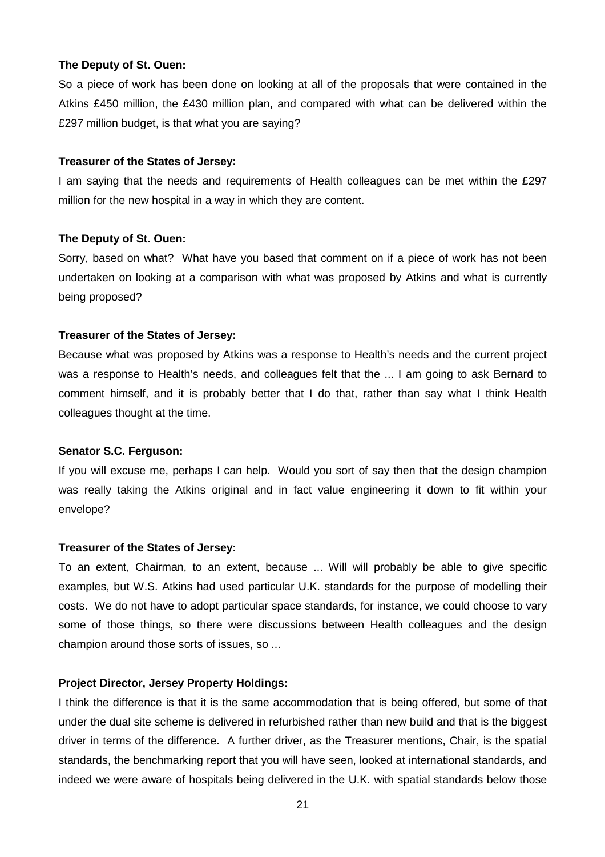So a piece of work has been done on looking at all of the proposals that were contained in the Atkins £450 million, the £430 million plan, and compared with what can be delivered within the £297 million budget, is that what you are saying?

#### **Treasurer of the States of Jersey:**

I am saying that the needs and requirements of Health colleagues can be met within the £297 million for the new hospital in a way in which they are content.

#### **The Deputy of St. Ouen:**

Sorry, based on what? What have you based that comment on if a piece of work has not been undertaken on looking at a comparison with what was proposed by Atkins and what is currently being proposed?

#### **Treasurer of the States of Jersey:**

Because what was proposed by Atkins was a response to Health's needs and the current project was a response to Health's needs, and colleagues felt that the ... I am going to ask Bernard to comment himself, and it is probably better that I do that, rather than say what I think Health colleagues thought at the time.

#### **Senator S.C. Ferguson:**

If you will excuse me, perhaps I can help. Would you sort of say then that the design champion was really taking the Atkins original and in fact value engineering it down to fit within your envelope?

#### **Treasurer of the States of Jersey:**

To an extent, Chairman, to an extent, because ... Will will probably be able to give specific examples, but W.S. Atkins had used particular U.K. standards for the purpose of modelling their costs. We do not have to adopt particular space standards, for instance, we could choose to vary some of those things, so there were discussions between Health colleagues and the design champion around those sorts of issues, so ...

#### **Project Director, Jersey Property Holdings:**

I think the difference is that it is the same accommodation that is being offered, but some of that under the dual site scheme is delivered in refurbished rather than new build and that is the biggest driver in terms of the difference. A further driver, as the Treasurer mentions, Chair, is the spatial standards, the benchmarking report that you will have seen, looked at international standards, and indeed we were aware of hospitals being delivered in the U.K. with spatial standards below those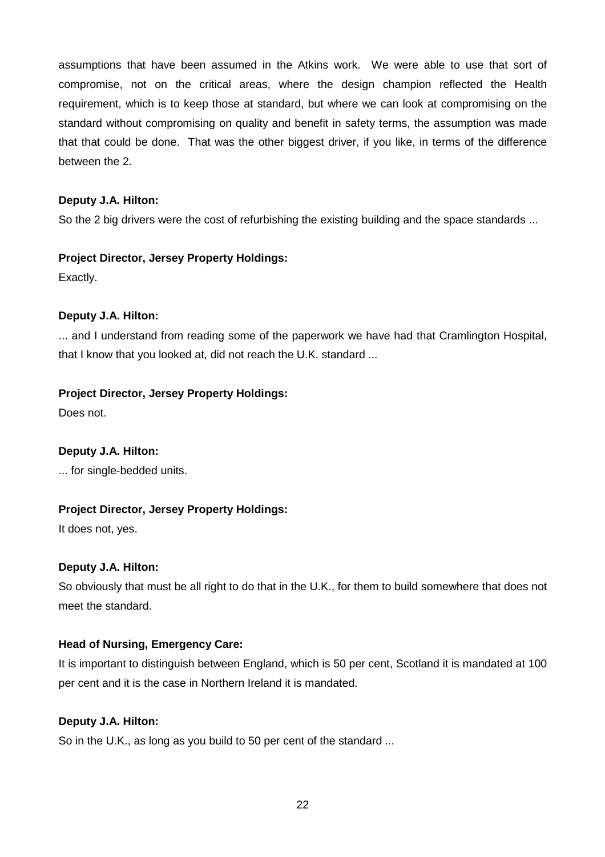assumptions that have been assumed in the Atkins work. We were able to use that sort of compromise, not on the critical areas, where the design champion reflected the Health requirement, which is to keep those at standard, but where we can look at compromising on the standard without compromising on quality and benefit in safety terms, the assumption was made that that could be done. That was the other biggest driver, if you like, in terms of the difference between the 2.

## **Deputy J.A. Hilton:**

So the 2 big drivers were the cost of refurbishing the existing building and the space standards ...

## **Project Director, Jersey Property Holdings:**

Exactly.

# **Deputy J.A. Hilton:**

... and I understand from reading some of the paperwork we have had that Cramlington Hospital, that I know that you looked at, did not reach the U.K. standard ...

# **Project Director, Jersey Property Holdings:**

Does not.

# **Deputy J.A. Hilton:**

... for single-bedded units.

# **Project Director, Jersey Property Holdings:**

It does not, yes.

## **Deputy J.A. Hilton:**

So obviously that must be all right to do that in the U.K., for them to build somewhere that does not meet the standard.

# **Head of Nursing, Emergency Care:**

It is important to distinguish between England, which is 50 per cent, Scotland it is mandated at 100 per cent and it is the case in Northern Ireland it is mandated.

## **Deputy J.A. Hilton:**

So in the U.K., as long as you build to 50 per cent of the standard ...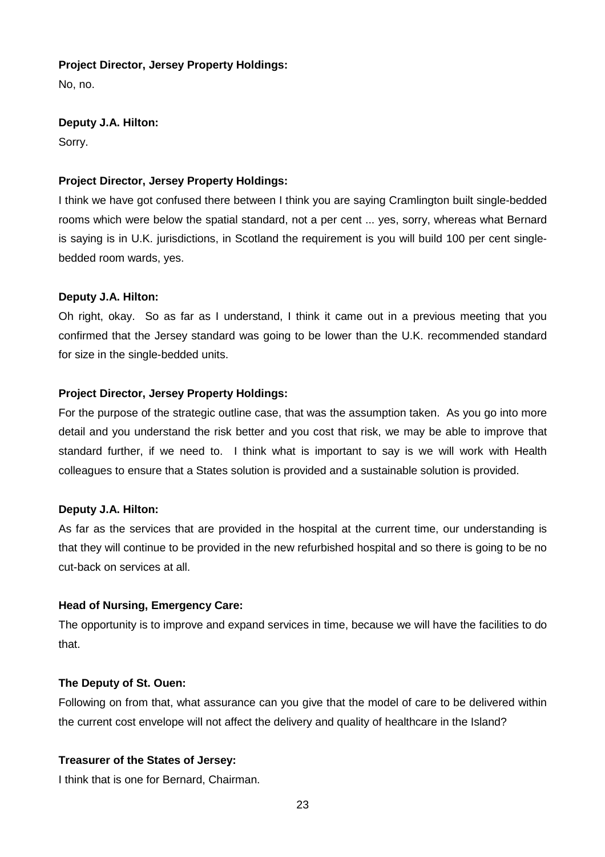## **Project Director, Jersey Property Holdings:**

No, no.

# **Deputy J.A. Hilton:**

Sorry.

# **Project Director, Jersey Property Holdings:**

I think we have got confused there between I think you are saying Cramlington built single-bedded rooms which were below the spatial standard, not a per cent ... yes, sorry, whereas what Bernard is saying is in U.K. jurisdictions, in Scotland the requirement is you will build 100 per cent singlebedded room wards, yes.

# **Deputy J.A. Hilton:**

Oh right, okay. So as far as I understand, I think it came out in a previous meeting that you confirmed that the Jersey standard was going to be lower than the U.K. recommended standard for size in the single-bedded units.

# **Project Director, Jersey Property Holdings:**

For the purpose of the strategic outline case, that was the assumption taken. As you go into more detail and you understand the risk better and you cost that risk, we may be able to improve that standard further, if we need to. I think what is important to say is we will work with Health colleagues to ensure that a States solution is provided and a sustainable solution is provided.

# **Deputy J.A. Hilton:**

As far as the services that are provided in the hospital at the current time, our understanding is that they will continue to be provided in the new refurbished hospital and so there is going to be no cut-back on services at all.

# **Head of Nursing, Emergency Care:**

The opportunity is to improve and expand services in time, because we will have the facilities to do that.

# **The Deputy of St. Ouen:**

Following on from that, what assurance can you give that the model of care to be delivered within the current cost envelope will not affect the delivery and quality of healthcare in the Island?

# **Treasurer of the States of Jersey:**

I think that is one for Bernard, Chairman.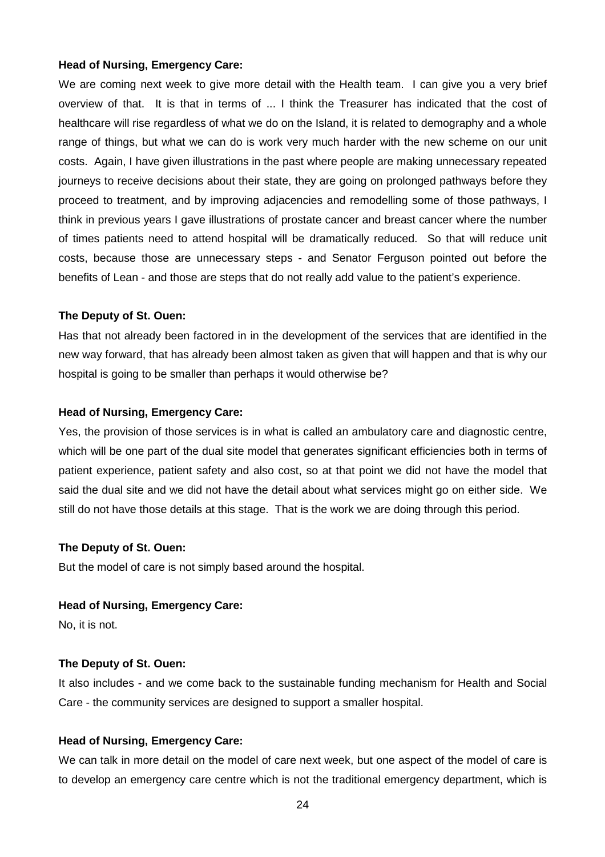#### **Head of Nursing, Emergency Care:**

We are coming next week to give more detail with the Health team. I can give you a very brief overview of that. It is that in terms of ... I think the Treasurer has indicated that the cost of healthcare will rise regardless of what we do on the Island, it is related to demography and a whole range of things, but what we can do is work very much harder with the new scheme on our unit costs. Again, I have given illustrations in the past where people are making unnecessary repeated journeys to receive decisions about their state, they are going on prolonged pathways before they proceed to treatment, and by improving adjacencies and remodelling some of those pathways, I think in previous years I gave illustrations of prostate cancer and breast cancer where the number of times patients need to attend hospital will be dramatically reduced. So that will reduce unit costs, because those are unnecessary steps - and Senator Ferguson pointed out before the benefits of Lean - and those are steps that do not really add value to the patient's experience.

#### **The Deputy of St. Ouen:**

Has that not already been factored in in the development of the services that are identified in the new way forward, that has already been almost taken as given that will happen and that is why our hospital is going to be smaller than perhaps it would otherwise be?

#### **Head of Nursing, Emergency Care:**

Yes, the provision of those services is in what is called an ambulatory care and diagnostic centre, which will be one part of the dual site model that generates significant efficiencies both in terms of patient experience, patient safety and also cost, so at that point we did not have the model that said the dual site and we did not have the detail about what services might go on either side. We still do not have those details at this stage. That is the work we are doing through this period.

#### **The Deputy of St. Ouen:**

But the model of care is not simply based around the hospital.

#### **Head of Nursing, Emergency Care:**

No, it is not.

#### **The Deputy of St. Ouen:**

It also includes - and we come back to the sustainable funding mechanism for Health and Social Care - the community services are designed to support a smaller hospital.

#### **Head of Nursing, Emergency Care:**

We can talk in more detail on the model of care next week, but one aspect of the model of care is to develop an emergency care centre which is not the traditional emergency department, which is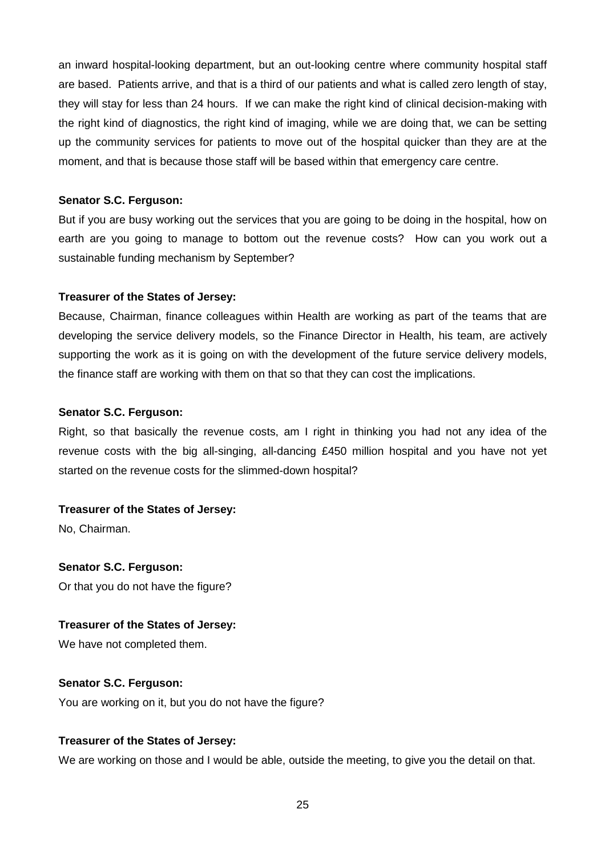an inward hospital-looking department, but an out-looking centre where community hospital staff are based. Patients arrive, and that is a third of our patients and what is called zero length of stay, they will stay for less than 24 hours. If we can make the right kind of clinical decision-making with the right kind of diagnostics, the right kind of imaging, while we are doing that, we can be setting up the community services for patients to move out of the hospital quicker than they are at the moment, and that is because those staff will be based within that emergency care centre.

#### **Senator S.C. Ferguson:**

But if you are busy working out the services that you are going to be doing in the hospital, how on earth are you going to manage to bottom out the revenue costs? How can you work out a sustainable funding mechanism by September?

## **Treasurer of the States of Jersey:**

Because, Chairman, finance colleagues within Health are working as part of the teams that are developing the service delivery models, so the Finance Director in Health, his team, are actively supporting the work as it is going on with the development of the future service delivery models, the finance staff are working with them on that so that they can cost the implications.

#### **Senator S.C. Ferguson:**

Right, so that basically the revenue costs, am I right in thinking you had not any idea of the revenue costs with the big all-singing, all-dancing £450 million hospital and you have not yet started on the revenue costs for the slimmed-down hospital?

## **Treasurer of the States of Jersey:**

No, Chairman.

## **Senator S.C. Ferguson:**

Or that you do not have the figure?

## **Treasurer of the States of Jersey:**

We have not completed them.

## **Senator S.C. Ferguson:**

You are working on it, but you do not have the figure?

## **Treasurer of the States of Jersey:**

We are working on those and I would be able, outside the meeting, to give you the detail on that.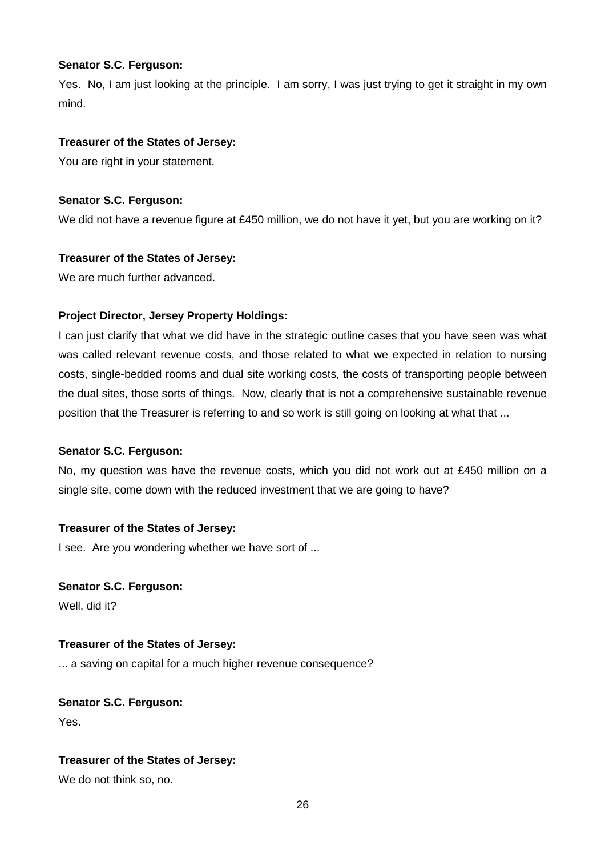## **Senator S.C. Ferguson:**

Yes. No, I am just looking at the principle. I am sorry, I was just trying to get it straight in my own mind.

## **Treasurer of the States of Jersey:**

You are right in your statement.

## **Senator S.C. Ferguson:**

We did not have a revenue figure at £450 million, we do not have it yet, but you are working on it?

# **Treasurer of the States of Jersey:**

We are much further advanced.

# **Project Director, Jersey Property Holdings:**

I can just clarify that what we did have in the strategic outline cases that you have seen was what was called relevant revenue costs, and those related to what we expected in relation to nursing costs, single-bedded rooms and dual site working costs, the costs of transporting people between the dual sites, those sorts of things. Now, clearly that is not a comprehensive sustainable revenue position that the Treasurer is referring to and so work is still going on looking at what that ...

# **Senator S.C. Ferguson:**

No, my question was have the revenue costs, which you did not work out at £450 million on a single site, come down with the reduced investment that we are going to have?

# **Treasurer of the States of Jersey:**

I see. Are you wondering whether we have sort of ...

**Senator S.C. Ferguson:** Well, did it?

## **Treasurer of the States of Jersey:**

... a saving on capital for a much higher revenue consequence?

**Senator S.C. Ferguson:** Yes.

# **Treasurer of the States of Jersey:**

We do not think so, no.

26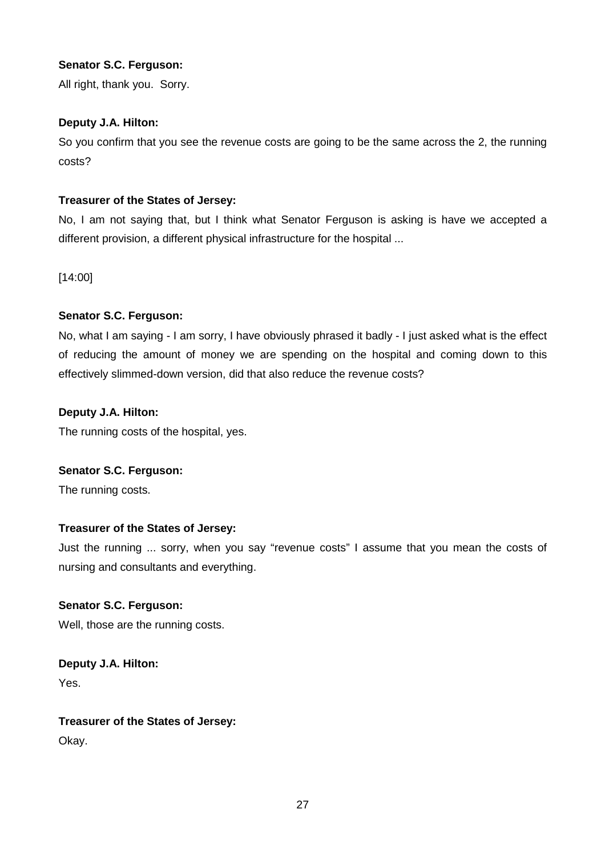## **Senator S.C. Ferguson:**

All right, thank you. Sorry.

## **Deputy J.A. Hilton:**

So you confirm that you see the revenue costs are going to be the same across the 2, the running costs?

## **Treasurer of the States of Jersey:**

No, I am not saying that, but I think what Senator Ferguson is asking is have we accepted a different provision, a different physical infrastructure for the hospital ...

[14:00]

# **Senator S.C. Ferguson:**

No, what I am saying - I am sorry, I have obviously phrased it badly - I just asked what is the effect of reducing the amount of money we are spending on the hospital and coming down to this effectively slimmed-down version, did that also reduce the revenue costs?

## **Deputy J.A. Hilton:**

The running costs of the hospital, yes.

## **Senator S.C. Ferguson:**

The running costs.

# **Treasurer of the States of Jersey:**

Just the running ... sorry, when you say "revenue costs" I assume that you mean the costs of nursing and consultants and everything.

# **Senator S.C. Ferguson:**

Well, those are the running costs.

**Deputy J.A. Hilton:** Yes.

# **Treasurer of the States of Jersey:**

Okay.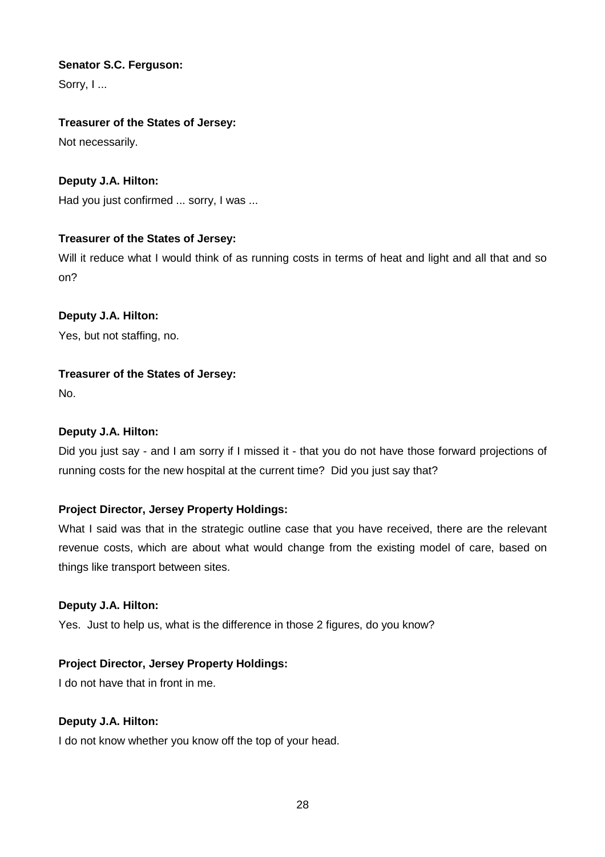# **Senator S.C. Ferguson:**

Sorry, I...

# **Treasurer of the States of Jersey:**

Not necessarily.

# **Deputy J.A. Hilton:**

Had you just confirmed ... sorry, I was ...

# **Treasurer of the States of Jersey:**

Will it reduce what I would think of as running costs in terms of heat and light and all that and so on?

# **Deputy J.A. Hilton:**

Yes, but not staffing, no.

# **Treasurer of the States of Jersey:**

No.

# **Deputy J.A. Hilton:**

Did you just say - and I am sorry if I missed it - that you do not have those forward projections of running costs for the new hospital at the current time? Did you just say that?

# **Project Director, Jersey Property Holdings:**

What I said was that in the strategic outline case that you have received, there are the relevant revenue costs, which are about what would change from the existing model of care, based on things like transport between sites.

# **Deputy J.A. Hilton:**

Yes. Just to help us, what is the difference in those 2 figures, do you know?

# **Project Director, Jersey Property Holdings:**

I do not have that in front in me.

# **Deputy J.A. Hilton:**

I do not know whether you know off the top of your head.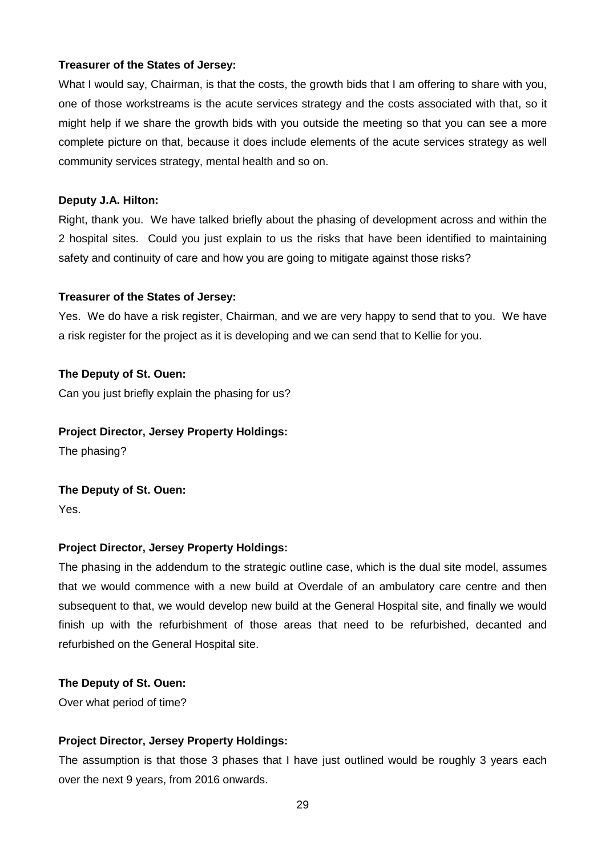What I would say, Chairman, is that the costs, the growth bids that I am offering to share with you, one of those workstreams is the acute services strategy and the costs associated with that, so it might help if we share the growth bids with you outside the meeting so that you can see a more complete picture on that, because it does include elements of the acute services strategy as well community services strategy, mental health and so on.

#### **Deputy J.A. Hilton:**

Right, thank you. We have talked briefly about the phasing of development across and within the 2 hospital sites. Could you just explain to us the risks that have been identified to maintaining safety and continuity of care and how you are going to mitigate against those risks?

#### **Treasurer of the States of Jersey:**

Yes. We do have a risk register, Chairman, and we are very happy to send that to you. We have a risk register for the project as it is developing and we can send that to Kellie for you.

#### **The Deputy of St. Ouen:**

Can you just briefly explain the phasing for us?

#### **Project Director, Jersey Property Holdings:**

The phasing?

# **The Deputy of St. Ouen:** Yes.

## **Project Director, Jersey Property Holdings:**

The phasing in the addendum to the strategic outline case, which is the dual site model, assumes that we would commence with a new build at Overdale of an ambulatory care centre and then subsequent to that, we would develop new build at the General Hospital site, and finally we would finish up with the refurbishment of those areas that need to be refurbished, decanted and refurbished on the General Hospital site.

#### **The Deputy of St. Ouen:**

Over what period of time?

## **Project Director, Jersey Property Holdings:**

The assumption is that those 3 phases that I have just outlined would be roughly 3 years each over the next 9 years, from 2016 onwards.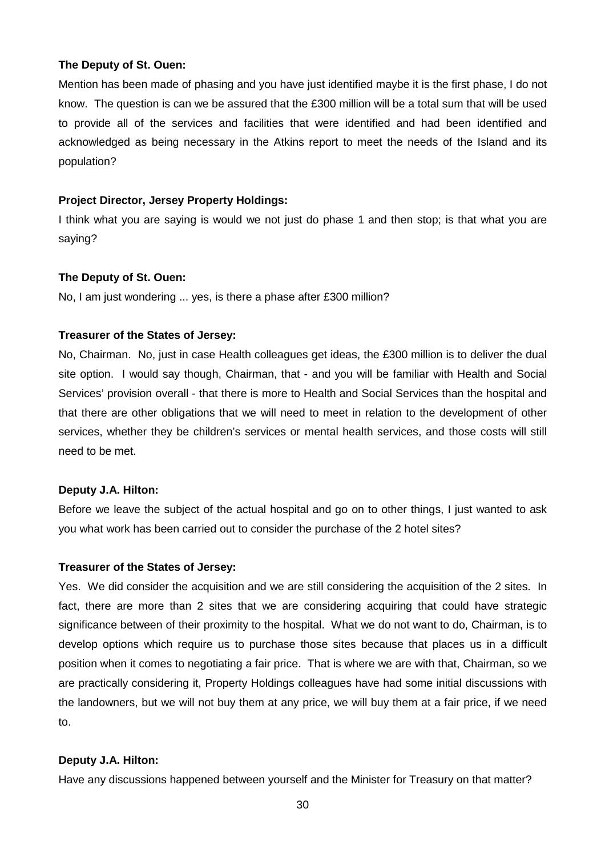Mention has been made of phasing and you have just identified maybe it is the first phase, I do not know. The question is can we be assured that the £300 million will be a total sum that will be used to provide all of the services and facilities that were identified and had been identified and acknowledged as being necessary in the Atkins report to meet the needs of the Island and its population?

#### **Project Director, Jersey Property Holdings:**

I think what you are saying is would we not just do phase 1 and then stop; is that what you are saying?

#### **The Deputy of St. Ouen:**

No, I am just wondering ... yes, is there a phase after £300 million?

#### **Treasurer of the States of Jersey:**

No, Chairman. No, just in case Health colleagues get ideas, the £300 million is to deliver the dual site option. I would say though, Chairman, that - and you will be familiar with Health and Social Services' provision overall - that there is more to Health and Social Services than the hospital and that there are other obligations that we will need to meet in relation to the development of other services, whether they be children's services or mental health services, and those costs will still need to be met.

#### **Deputy J.A. Hilton:**

Before we leave the subject of the actual hospital and go on to other things, I just wanted to ask you what work has been carried out to consider the purchase of the 2 hotel sites?

#### **Treasurer of the States of Jersey:**

Yes. We did consider the acquisition and we are still considering the acquisition of the 2 sites. In fact, there are more than 2 sites that we are considering acquiring that could have strategic significance between of their proximity to the hospital. What we do not want to do, Chairman, is to develop options which require us to purchase those sites because that places us in a difficult position when it comes to negotiating a fair price. That is where we are with that, Chairman, so we are practically considering it, Property Holdings colleagues have had some initial discussions with the landowners, but we will not buy them at any price, we will buy them at a fair price, if we need to.

#### **Deputy J.A. Hilton:**

Have any discussions happened between yourself and the Minister for Treasury on that matter?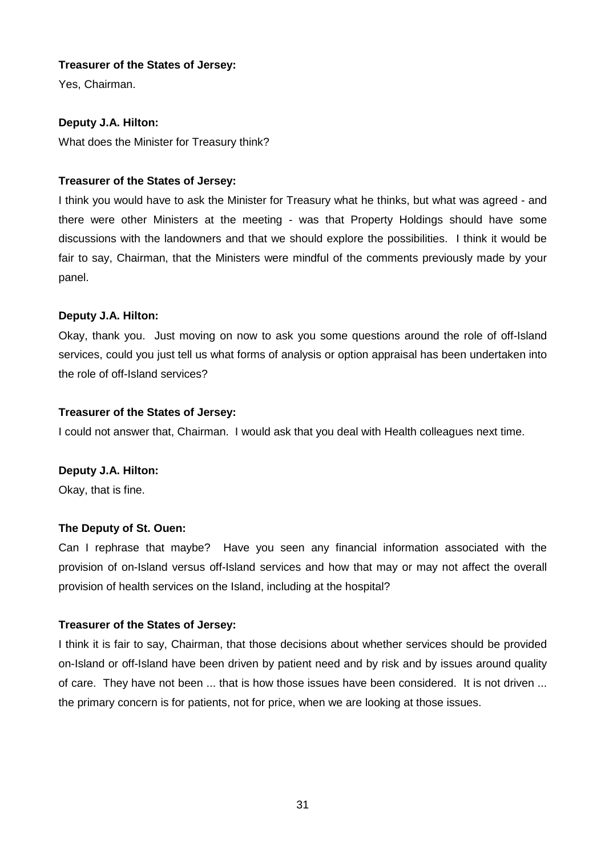Yes, Chairman.

# **Deputy J.A. Hilton:**

What does the Minister for Treasury think?

# **Treasurer of the States of Jersey:**

I think you would have to ask the Minister for Treasury what he thinks, but what was agreed - and there were other Ministers at the meeting - was that Property Holdings should have some discussions with the landowners and that we should explore the possibilities. I think it would be fair to say, Chairman, that the Ministers were mindful of the comments previously made by your panel.

# **Deputy J.A. Hilton:**

Okay, thank you. Just moving on now to ask you some questions around the role of off-Island services, could you just tell us what forms of analysis or option appraisal has been undertaken into the role of off-Island services?

## **Treasurer of the States of Jersey:**

I could not answer that, Chairman. I would ask that you deal with Health colleagues next time.

# **Deputy J.A. Hilton:**

Okay, that is fine.

# **The Deputy of St. Ouen:**

Can I rephrase that maybe? Have you seen any financial information associated with the provision of on-Island versus off-Island services and how that may or may not affect the overall provision of health services on the Island, including at the hospital?

# **Treasurer of the States of Jersey:**

I think it is fair to say, Chairman, that those decisions about whether services should be provided on-Island or off-Island have been driven by patient need and by risk and by issues around quality of care. They have not been ... that is how those issues have been considered. It is not driven ... the primary concern is for patients, not for price, when we are looking at those issues.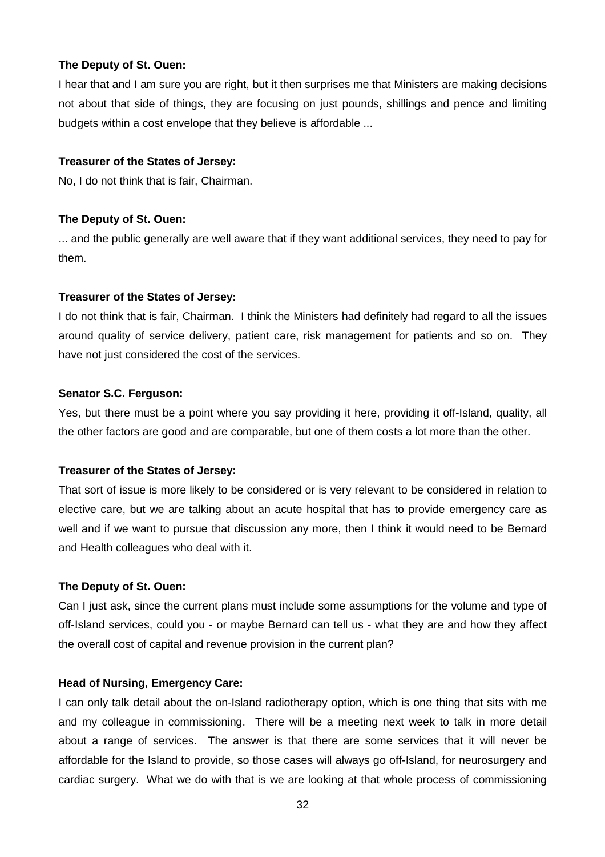I hear that and I am sure you are right, but it then surprises me that Ministers are making decisions not about that side of things, they are focusing on just pounds, shillings and pence and limiting budgets within a cost envelope that they believe is affordable ...

#### **Treasurer of the States of Jersey:**

No, I do not think that is fair, Chairman.

#### **The Deputy of St. Ouen:**

... and the public generally are well aware that if they want additional services, they need to pay for them.

#### **Treasurer of the States of Jersey:**

I do not think that is fair, Chairman. I think the Ministers had definitely had regard to all the issues around quality of service delivery, patient care, risk management for patients and so on. They have not just considered the cost of the services.

#### **Senator S.C. Ferguson:**

Yes, but there must be a point where you say providing it here, providing it off-Island, quality, all the other factors are good and are comparable, but one of them costs a lot more than the other.

## **Treasurer of the States of Jersey:**

That sort of issue is more likely to be considered or is very relevant to be considered in relation to elective care, but we are talking about an acute hospital that has to provide emergency care as well and if we want to pursue that discussion any more, then I think it would need to be Bernard and Health colleagues who deal with it.

## **The Deputy of St. Ouen:**

Can I just ask, since the current plans must include some assumptions for the volume and type of off-Island services, could you - or maybe Bernard can tell us - what they are and how they affect the overall cost of capital and revenue provision in the current plan?

## **Head of Nursing, Emergency Care:**

I can only talk detail about the on-Island radiotherapy option, which is one thing that sits with me and my colleague in commissioning. There will be a meeting next week to talk in more detail about a range of services. The answer is that there are some services that it will never be affordable for the Island to provide, so those cases will always go off-Island, for neurosurgery and cardiac surgery. What we do with that is we are looking at that whole process of commissioning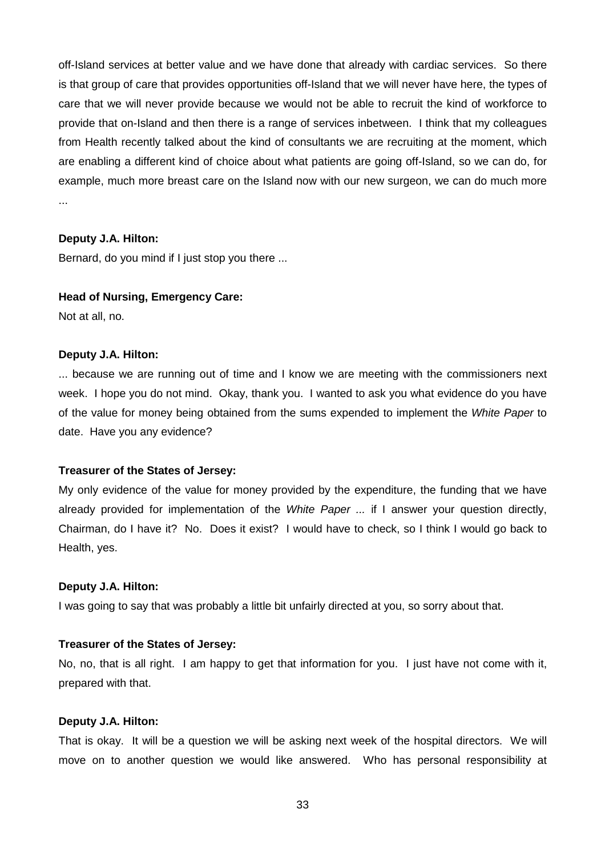off-Island services at better value and we have done that already with cardiac services. So there is that group of care that provides opportunities off-Island that we will never have here, the types of care that we will never provide because we would not be able to recruit the kind of workforce to provide that on-Island and then there is a range of services inbetween. I think that my colleagues from Health recently talked about the kind of consultants we are recruiting at the moment, which are enabling a different kind of choice about what patients are going off-Island, so we can do, for example, much more breast care on the Island now with our new surgeon, we can do much more ...

#### **Deputy J.A. Hilton:**

Bernard, do you mind if I just stop you there ...

#### **Head of Nursing, Emergency Care:**

Not at all, no.

#### **Deputy J.A. Hilton:**

... because we are running out of time and I know we are meeting with the commissioners next week. I hope you do not mind. Okay, thank you. I wanted to ask you what evidence do you have of the value for money being obtained from the sums expended to implement the White Paper to date. Have you any evidence?

#### **Treasurer of the States of Jersey:**

My only evidence of the value for money provided by the expenditure, the funding that we have already provided for implementation of the White Paper ... if I answer your question directly, Chairman, do I have it? No. Does it exist? I would have to check, so I think I would go back to Health, yes.

#### **Deputy J.A. Hilton:**

I was going to say that was probably a little bit unfairly directed at you, so sorry about that.

#### **Treasurer of the States of Jersey:**

No, no, that is all right. I am happy to get that information for you. I just have not come with it, prepared with that.

#### **Deputy J.A. Hilton:**

That is okay. It will be a question we will be asking next week of the hospital directors. We will move on to another question we would like answered. Who has personal responsibility at

33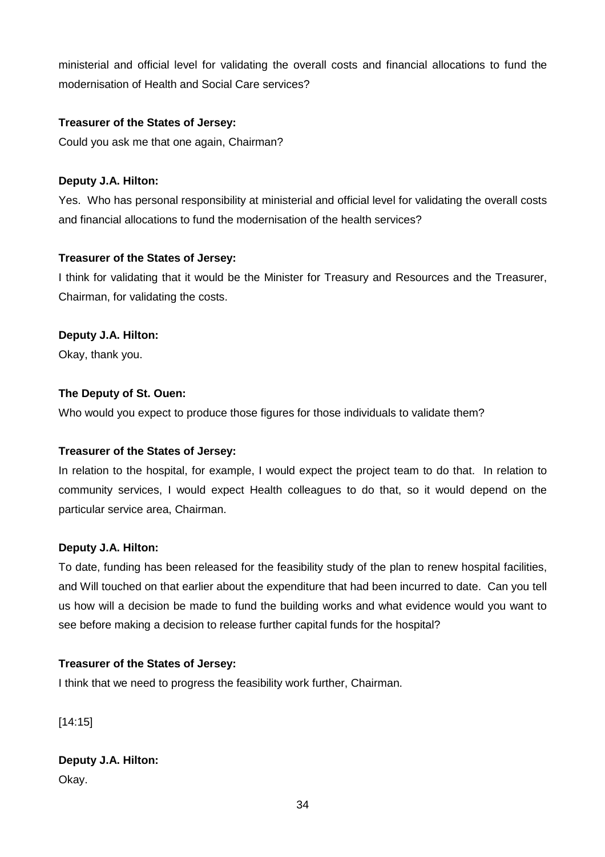ministerial and official level for validating the overall costs and financial allocations to fund the modernisation of Health and Social Care services?

## **Treasurer of the States of Jersey:**

Could you ask me that one again, Chairman?

## **Deputy J.A. Hilton:**

Yes. Who has personal responsibility at ministerial and official level for validating the overall costs and financial allocations to fund the modernisation of the health services?

## **Treasurer of the States of Jersey:**

I think for validating that it would be the Minister for Treasury and Resources and the Treasurer, Chairman, for validating the costs.

## **Deputy J.A. Hilton:**

Okay, thank you.

## **The Deputy of St. Ouen:**

Who would you expect to produce those figures for those individuals to validate them?

## **Treasurer of the States of Jersey:**

In relation to the hospital, for example, I would expect the project team to do that. In relation to community services, I would expect Health colleagues to do that, so it would depend on the particular service area, Chairman.

# **Deputy J.A. Hilton:**

To date, funding has been released for the feasibility study of the plan to renew hospital facilities, and Will touched on that earlier about the expenditure that had been incurred to date. Can you tell us how will a decision be made to fund the building works and what evidence would you want to see before making a decision to release further capital funds for the hospital?

# **Treasurer of the States of Jersey:**

I think that we need to progress the feasibility work further, Chairman.

[14:15]

**Deputy J.A. Hilton:** Okay.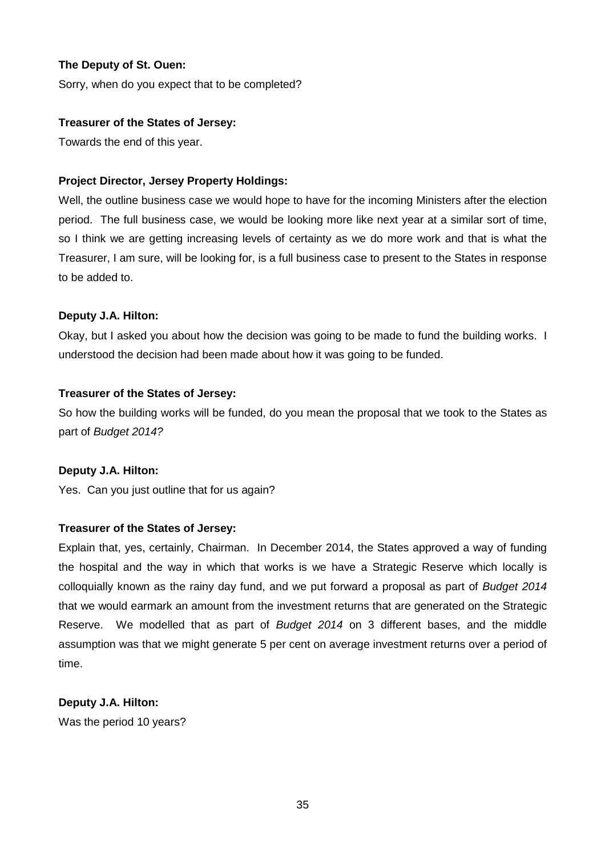Sorry, when do you expect that to be completed?

## **Treasurer of the States of Jersey:**

Towards the end of this year.

## **Project Director, Jersey Property Holdings:**

Well, the outline business case we would hope to have for the incoming Ministers after the election period. The full business case, we would be looking more like next year at a similar sort of time, so I think we are getting increasing levels of certainty as we do more work and that is what the Treasurer, I am sure, will be looking for, is a full business case to present to the States in response to be added to.

## **Deputy J.A. Hilton:**

Okay, but I asked you about how the decision was going to be made to fund the building works. I understood the decision had been made about how it was going to be funded.

## **Treasurer of the States of Jersey:**

So how the building works will be funded, do you mean the proposal that we took to the States as part of Budget 2014?

## **Deputy J.A. Hilton:**

Yes. Can you just outline that for us again?

# **Treasurer of the States of Jersey:**

Explain that, yes, certainly, Chairman. In December 2014, the States approved a way of funding the hospital and the way in which that works is we have a Strategic Reserve which locally is colloquially known as the rainy day fund, and we put forward a proposal as part of Budget 2014 that we would earmark an amount from the investment returns that are generated on the Strategic Reserve. We modelled that as part of Budget 2014 on 3 different bases, and the middle assumption was that we might generate 5 per cent on average investment returns over a period of time.

# **Deputy J.A. Hilton:**

Was the period 10 years?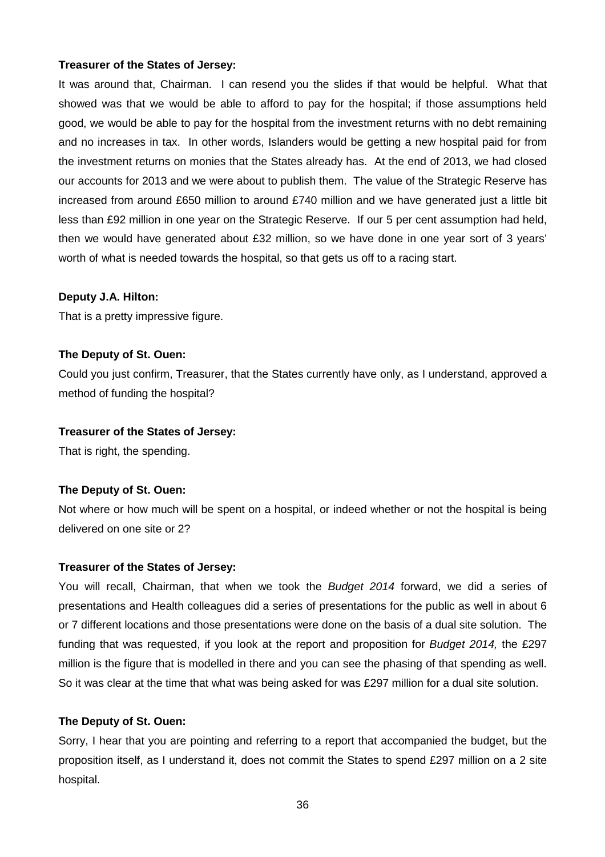It was around that, Chairman. I can resend you the slides if that would be helpful. What that showed was that we would be able to afford to pay for the hospital; if those assumptions held good, we would be able to pay for the hospital from the investment returns with no debt remaining and no increases in tax. In other words, Islanders would be getting a new hospital paid for from the investment returns on monies that the States already has. At the end of 2013, we had closed our accounts for 2013 and we were about to publish them. The value of the Strategic Reserve has increased from around £650 million to around £740 million and we have generated just a little bit less than £92 million in one year on the Strategic Reserve. If our 5 per cent assumption had held, then we would have generated about £32 million, so we have done in one year sort of 3 years' worth of what is needed towards the hospital, so that gets us off to a racing start.

#### **Deputy J.A. Hilton:**

That is a pretty impressive figure.

#### **The Deputy of St. Ouen:**

Could you just confirm, Treasurer, that the States currently have only, as I understand, approved a method of funding the hospital?

#### **Treasurer of the States of Jersey:**

That is right, the spending.

## **The Deputy of St. Ouen:**

Not where or how much will be spent on a hospital, or indeed whether or not the hospital is being delivered on one site or 2?

#### **Treasurer of the States of Jersey:**

You will recall, Chairman, that when we took the Budget 2014 forward, we did a series of presentations and Health colleagues did a series of presentations for the public as well in about 6 or 7 different locations and those presentations were done on the basis of a dual site solution. The funding that was requested, if you look at the report and proposition for Budget 2014, the £297 million is the figure that is modelled in there and you can see the phasing of that spending as well. So it was clear at the time that what was being asked for was £297 million for a dual site solution.

#### **The Deputy of St. Ouen:**

Sorry, I hear that you are pointing and referring to a report that accompanied the budget, but the proposition itself, as I understand it, does not commit the States to spend £297 million on a 2 site hospital.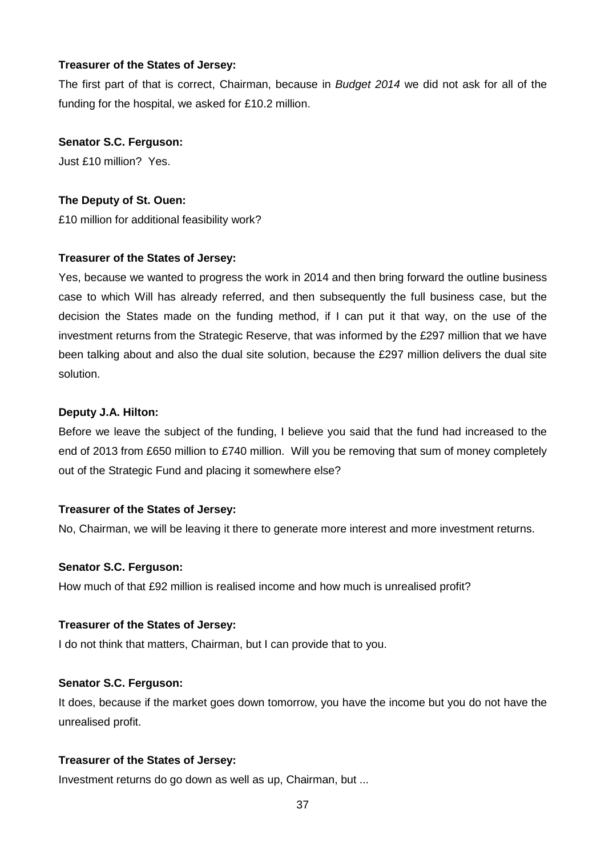The first part of that is correct, Chairman, because in Budget 2014 we did not ask for all of the funding for the hospital, we asked for £10.2 million.

#### **Senator S.C. Ferguson:**

Just £10 million? Yes.

#### **The Deputy of St. Ouen:**

£10 million for additional feasibility work?

## **Treasurer of the States of Jersey:**

Yes, because we wanted to progress the work in 2014 and then bring forward the outline business case to which Will has already referred, and then subsequently the full business case, but the decision the States made on the funding method, if I can put it that way, on the use of the investment returns from the Strategic Reserve, that was informed by the £297 million that we have been talking about and also the dual site solution, because the £297 million delivers the dual site solution.

#### **Deputy J.A. Hilton:**

Before we leave the subject of the funding, I believe you said that the fund had increased to the end of 2013 from £650 million to £740 million. Will you be removing that sum of money completely out of the Strategic Fund and placing it somewhere else?

## **Treasurer of the States of Jersey:**

No, Chairman, we will be leaving it there to generate more interest and more investment returns.

#### **Senator S.C. Ferguson:**

How much of that £92 million is realised income and how much is unrealised profit?

#### **Treasurer of the States of Jersey:**

I do not think that matters, Chairman, but I can provide that to you.

#### **Senator S.C. Ferguson:**

It does, because if the market goes down tomorrow, you have the income but you do not have the unrealised profit.

## **Treasurer of the States of Jersey:**

Investment returns do go down as well as up, Chairman, but ...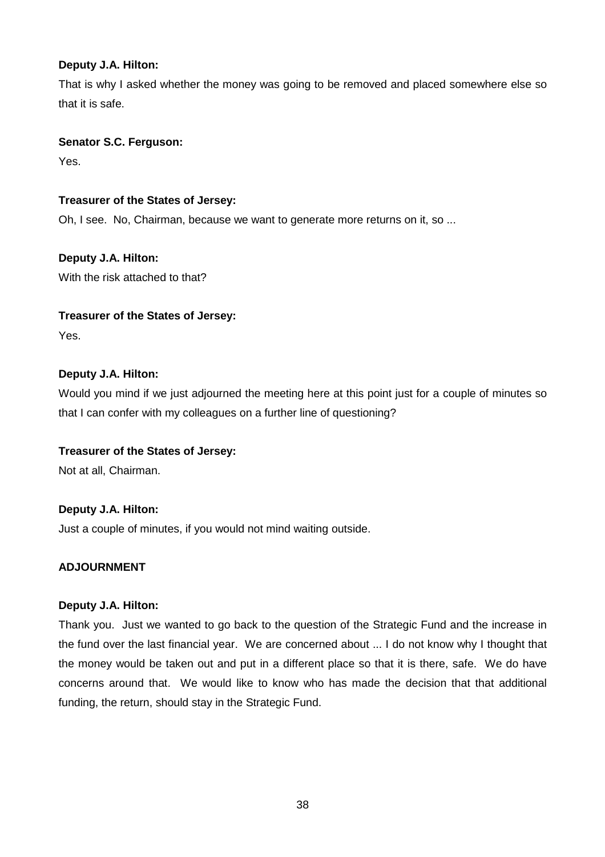## **Deputy J.A. Hilton:**

That is why I asked whether the money was going to be removed and placed somewhere else so that it is safe.

## **Senator S.C. Ferguson:**

Yes.

# **Treasurer of the States of Jersey:**

Oh, I see. No, Chairman, because we want to generate more returns on it, so ...

# **Deputy J.A. Hilton:**

With the risk attached to that?

## **Treasurer of the States of Jersey:**

Yes.

# **Deputy J.A. Hilton:**

Would you mind if we just adjourned the meeting here at this point just for a couple of minutes so that I can confer with my colleagues on a further line of questioning?

# **Treasurer of the States of Jersey:**

Not at all, Chairman.

# **Deputy J.A. Hilton:**

Just a couple of minutes, if you would not mind waiting outside.

# **ADJOURNMENT**

## **Deputy J.A. Hilton:**

Thank you. Just we wanted to go back to the question of the Strategic Fund and the increase in the fund over the last financial year. We are concerned about ... I do not know why I thought that the money would be taken out and put in a different place so that it is there, safe. We do have concerns around that. We would like to know who has made the decision that that additional funding, the return, should stay in the Strategic Fund.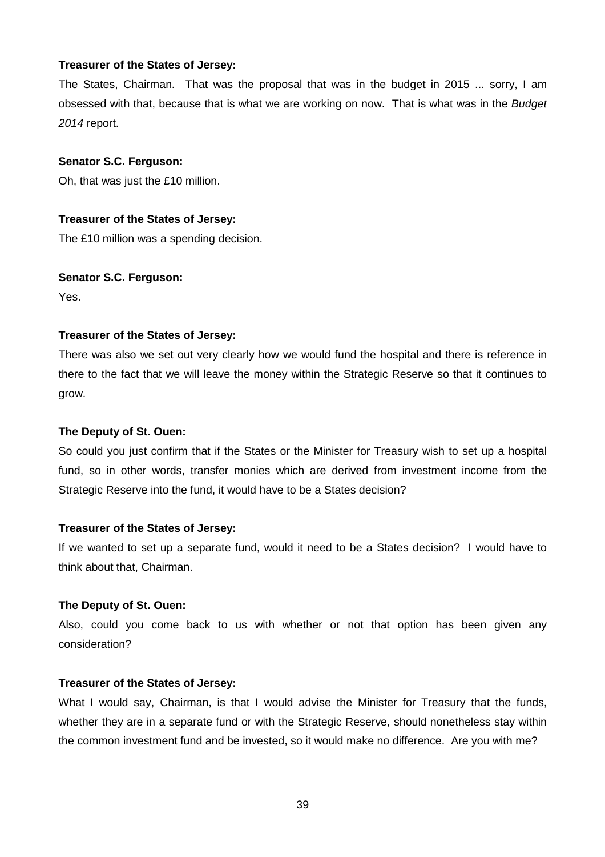The States, Chairman. That was the proposal that was in the budget in 2015 ... sorry, I am obsessed with that, because that is what we are working on now. That is what was in the Budget 2014 report.

#### **Senator S.C. Ferguson:**

Oh, that was just the £10 million.

#### **Treasurer of the States of Jersey:**

The £10 million was a spending decision.

#### **Senator S.C. Ferguson:**

Yes.

#### **Treasurer of the States of Jersey:**

There was also we set out very clearly how we would fund the hospital and there is reference in there to the fact that we will leave the money within the Strategic Reserve so that it continues to grow.

#### **The Deputy of St. Ouen:**

So could you just confirm that if the States or the Minister for Treasury wish to set up a hospital fund, so in other words, transfer monies which are derived from investment income from the Strategic Reserve into the fund, it would have to be a States decision?

#### **Treasurer of the States of Jersey:**

If we wanted to set up a separate fund, would it need to be a States decision? I would have to think about that, Chairman.

#### **The Deputy of St. Ouen:**

Also, could you come back to us with whether or not that option has been given any consideration?

#### **Treasurer of the States of Jersey:**

What I would say, Chairman, is that I would advise the Minister for Treasury that the funds, whether they are in a separate fund or with the Strategic Reserve, should nonetheless stay within the common investment fund and be invested, so it would make no difference. Are you with me?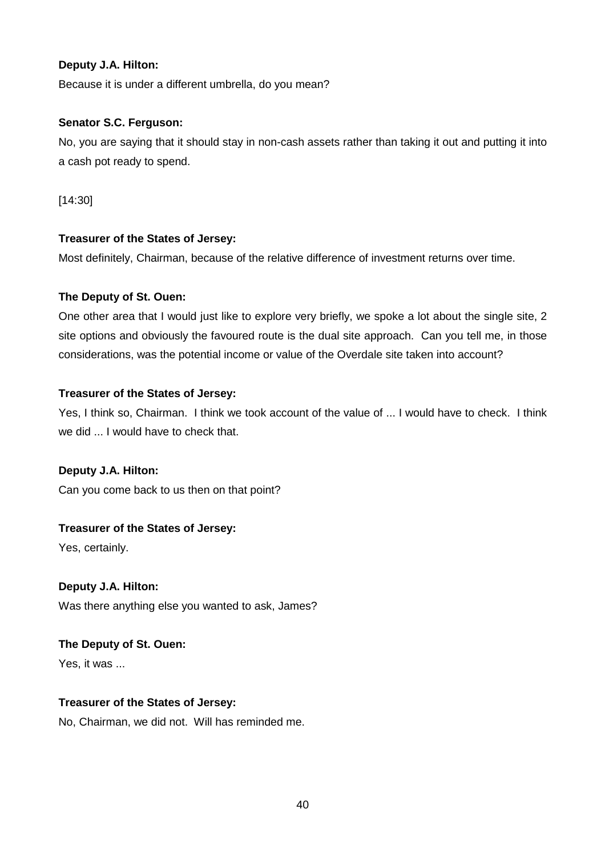## **Deputy J.A. Hilton:**

Because it is under a different umbrella, do you mean?

## **Senator S.C. Ferguson:**

No, you are saying that it should stay in non-cash assets rather than taking it out and putting it into a cash pot ready to spend.

[14:30]

## **Treasurer of the States of Jersey:**

Most definitely, Chairman, because of the relative difference of investment returns over time.

## **The Deputy of St. Ouen:**

One other area that I would just like to explore very briefly, we spoke a lot about the single site, 2 site options and obviously the favoured route is the dual site approach. Can you tell me, in those considerations, was the potential income or value of the Overdale site taken into account?

## **Treasurer of the States of Jersey:**

Yes, I think so, Chairman. I think we took account of the value of ... I would have to check. I think we did ... I would have to check that.

# **Deputy J.A. Hilton:**

Can you come back to us then on that point?

# **Treasurer of the States of Jersey:**

Yes, certainly.

# **Deputy J.A. Hilton:**

Was there anything else you wanted to ask, James?

# **The Deputy of St. Ouen:**

Yes, it was ...

# **Treasurer of the States of Jersey:**

No, Chairman, we did not. Will has reminded me.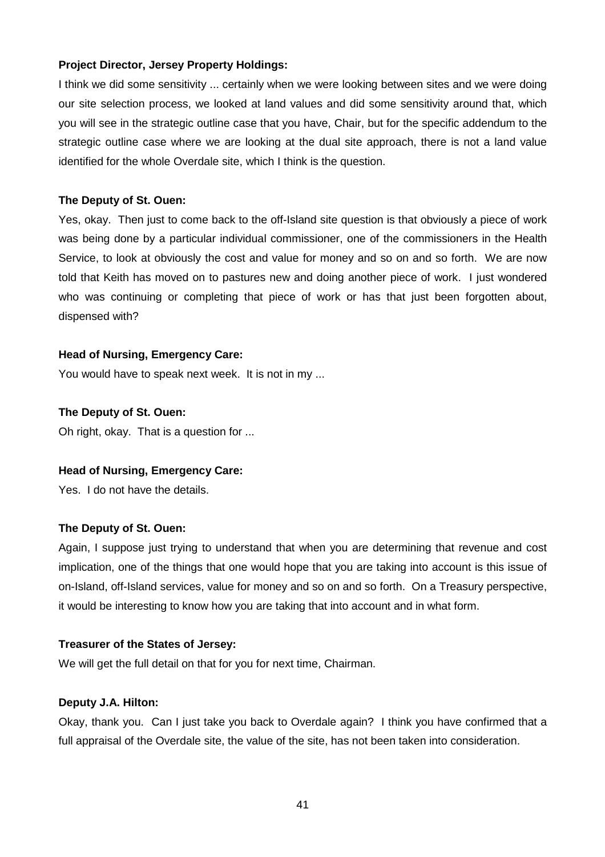## **Project Director, Jersey Property Holdings:**

I think we did some sensitivity ... certainly when we were looking between sites and we were doing our site selection process, we looked at land values and did some sensitivity around that, which you will see in the strategic outline case that you have, Chair, but for the specific addendum to the strategic outline case where we are looking at the dual site approach, there is not a land value identified for the whole Overdale site, which I think is the question.

#### **The Deputy of St. Ouen:**

Yes, okay. Then just to come back to the off-Island site question is that obviously a piece of work was being done by a particular individual commissioner, one of the commissioners in the Health Service, to look at obviously the cost and value for money and so on and so forth. We are now told that Keith has moved on to pastures new and doing another piece of work. I just wondered who was continuing or completing that piece of work or has that just been forgotten about, dispensed with?

#### **Head of Nursing, Emergency Care:**

You would have to speak next week. It is not in my ...

#### **The Deputy of St. Ouen:**

Oh right, okay. That is a question for ...

#### **Head of Nursing, Emergency Care:**

Yes. I do not have the details.

## **The Deputy of St. Ouen:**

Again, I suppose just trying to understand that when you are determining that revenue and cost implication, one of the things that one would hope that you are taking into account is this issue of on-Island, off-Island services, value for money and so on and so forth. On a Treasury perspective, it would be interesting to know how you are taking that into account and in what form.

#### **Treasurer of the States of Jersey:**

We will get the full detail on that for you for next time, Chairman.

#### **Deputy J.A. Hilton:**

Okay, thank you. Can I just take you back to Overdale again? I think you have confirmed that a full appraisal of the Overdale site, the value of the site, has not been taken into consideration.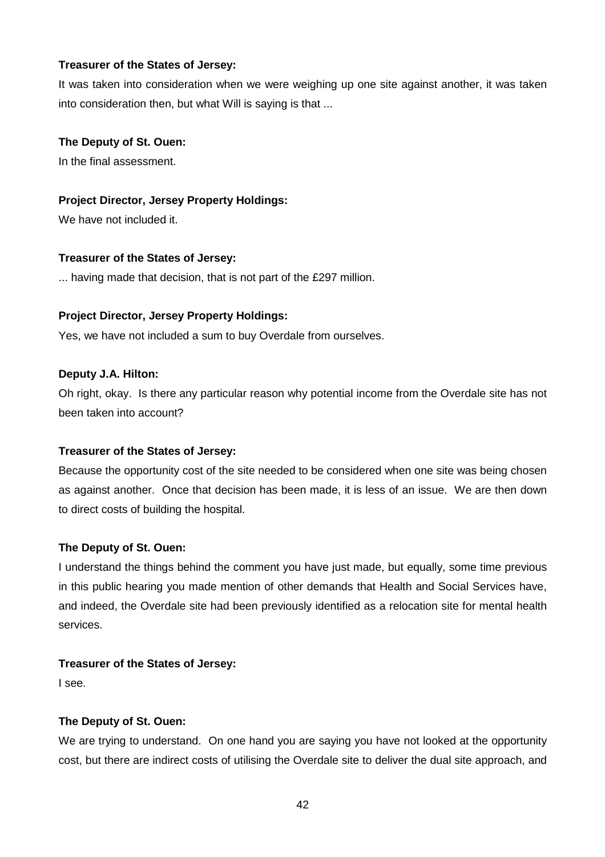It was taken into consideration when we were weighing up one site against another, it was taken into consideration then, but what Will is saying is that ...

## **The Deputy of St. Ouen:**

In the final assessment.

## **Project Director, Jersey Property Holdings:**

We have not included it.

## **Treasurer of the States of Jersey:**

... having made that decision, that is not part of the £297 million.

## **Project Director, Jersey Property Holdings:**

Yes, we have not included a sum to buy Overdale from ourselves.

## **Deputy J.A. Hilton:**

Oh right, okay. Is there any particular reason why potential income from the Overdale site has not been taken into account?

## **Treasurer of the States of Jersey:**

Because the opportunity cost of the site needed to be considered when one site was being chosen as against another. Once that decision has been made, it is less of an issue. We are then down to direct costs of building the hospital.

# **The Deputy of St. Ouen:**

I understand the things behind the comment you have just made, but equally, some time previous in this public hearing you made mention of other demands that Health and Social Services have, and indeed, the Overdale site had been previously identified as a relocation site for mental health services.

## **Treasurer of the States of Jersey:**

I see.

# **The Deputy of St. Ouen:**

We are trying to understand. On one hand you are saying you have not looked at the opportunity cost, but there are indirect costs of utilising the Overdale site to deliver the dual site approach, and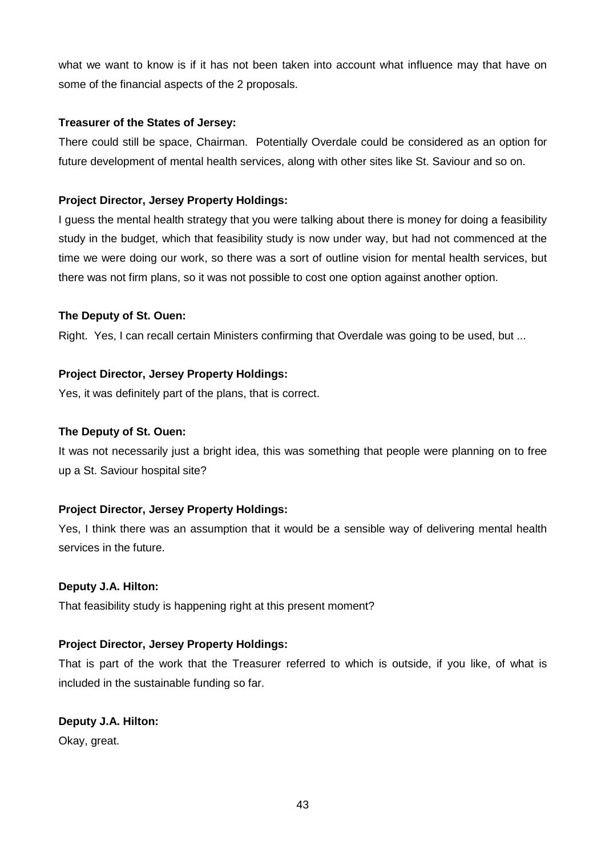what we want to know is if it has not been taken into account what influence may that have on some of the financial aspects of the 2 proposals.

## **Treasurer of the States of Jersey:**

There could still be space, Chairman. Potentially Overdale could be considered as an option for future development of mental health services, along with other sites like St. Saviour and so on.

# **Project Director, Jersey Property Holdings:**

I guess the mental health strategy that you were talking about there is money for doing a feasibility study in the budget, which that feasibility study is now under way, but had not commenced at the time we were doing our work, so there was a sort of outline vision for mental health services, but there was not firm plans, so it was not possible to cost one option against another option.

# **The Deputy of St. Ouen:**

Right. Yes, I can recall certain Ministers confirming that Overdale was going to be used, but ...

# **Project Director, Jersey Property Holdings:**

Yes, it was definitely part of the plans, that is correct.

# **The Deputy of St. Ouen:**

It was not necessarily just a bright idea, this was something that people were planning on to free up a St. Saviour hospital site?

# **Project Director, Jersey Property Holdings:**

Yes, I think there was an assumption that it would be a sensible way of delivering mental health services in the future.

# **Deputy J.A. Hilton:**

That feasibility study is happening right at this present moment?

# **Project Director, Jersey Property Holdings:**

That is part of the work that the Treasurer referred to which is outside, if you like, of what is included in the sustainable funding so far.

# **Deputy J.A. Hilton:**

Okay, great.